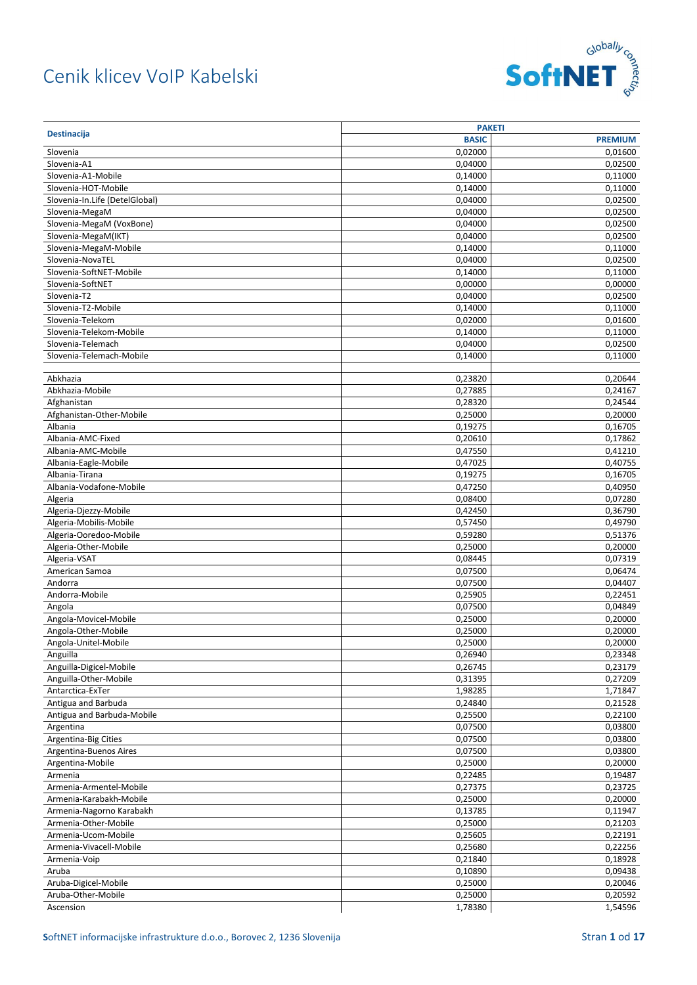

|                                | <b>PAKETI</b> |                    |
|--------------------------------|---------------|--------------------|
| <b>Destinacija</b>             | <b>BASIC</b>  | <b>PREMIUM</b>     |
| Slovenia                       | 0,02000       | 0,01600            |
| Slovenia-A1                    | 0.04000       | 0,02500            |
| Slovenia-A1-Mobile             | 0,14000       | 0,11000            |
| Slovenia-HOT-Mobile            | 0,14000       | 0,11000            |
| Slovenia-In.Life (DetelGlobal) | 0,04000       | 0,02500            |
| Slovenia-MegaM                 | 0,04000       | 0,02500            |
| Slovenia-MegaM (VoxBone)       | 0,04000       | 0,02500            |
| Slovenia-MegaM(IKT)            | 0,04000       | 0,02500            |
| Slovenia-MegaM-Mobile          | 0,14000       | 0,11000            |
| Slovenia-NovaTEL               | 0,04000       | 0,02500            |
| Slovenia-SoftNET-Mobile        | 0,14000       | 0,11000            |
| Slovenia-SoftNET               | 0,00000       | 0,00000            |
| Slovenia-T2                    | 0,04000       | 0,02500            |
| Slovenia-T2-Mobile             | 0,14000       | 0,11000            |
|                                |               |                    |
| Slovenia-Telekom               | 0,02000       | 0,01600            |
| Slovenia-Telekom-Mobile        | 0,14000       | 0,11000            |
| Slovenia-Telemach              | 0,04000       | 0,02500            |
| Slovenia-Telemach-Mobile       | 0,14000       | 0,11000            |
|                                |               |                    |
| Abkhazia                       | 0,23820       | 0,20644            |
| Abkhazia-Mobile                | 0,27885       | 0,24167            |
| Afghanistan                    | 0,28320       | 0,24544            |
| Afghanistan-Other-Mobile       | 0,25000       | 0,20000            |
| Albania                        | 0,19275       | 0,16705            |
| Albania-AMC-Fixed              | 0,20610       | 0,17862            |
| Albania-AMC-Mobile             | 0,47550       | 0,41210            |
| Albania-Eagle-Mobile           | 0,47025       | 0,40755            |
| Albania-Tirana                 | 0,19275       | 0,16705            |
| Albania-Vodafone-Mobile        | 0,47250       | 0,40950            |
| Algeria                        | 0,08400       | 0,07280            |
| Algeria-Djezzy-Mobile          | 0,42450       | 0,36790            |
| Algeria-Mobilis-Mobile         | 0,57450       | 0,49790            |
| Algeria-Ooredoo-Mobile         | 0,59280       | 0,51376            |
| Algeria-Other-Mobile           | 0,25000       | 0,20000            |
| Algeria-VSAT                   | 0,08445       | 0,07319            |
| American Samoa                 | 0,07500       | 0,06474            |
| Andorra                        | 0,07500       | 0,04407            |
| Andorra-Mobile                 | 0,25905       | 0,22451            |
| Angola                         | 0,07500       | 0,04849            |
| Angola-Movicel-Mobile          | 0,25000       | 0,20000            |
| Angola-Other-Mobile            | 0,25000       | 0,20000            |
| Angola-Unitel-Mobile           | 0,25000       | 0,20000            |
| Anguilla                       | 0,26940       | 0,23348            |
| Anguilla-Digicel-Mobile        | 0,26745       | 0,23179            |
| Anguilla-Other-Mobile          | 0,31395       | 0,27209            |
| Antarctica-ExTer               | 1,98285       | 1,71847            |
| Antigua and Barbuda            | 0,24840       | 0,21528            |
| Antigua and Barbuda-Mobile     | 0,25500       | 0,22100            |
| Argentina                      | 0,07500       | 0,03800            |
| Argentina-Big Cities           | 0,07500       | 0,03800            |
|                                |               |                    |
| Argentina-Buenos Aires         | 0,07500       | 0,03800<br>0,20000 |
| Argentina-Mobile               | 0,25000       |                    |
| Armenia                        | 0,22485       | 0,19487            |
| Armenia-Armentel-Mobile        | 0,27375       | 0,23725            |
| Armenia-Karabakh-Mobile        | 0,25000       | 0,20000            |
| Armenia-Nagorno Karabakh       | 0,13785       | 0,11947            |
| Armenia-Other-Mobile           | 0,25000       | 0,21203            |
| Armenia-Ucom-Mobile            | 0,25605       | 0,22191            |
| Armenia-Vivacell-Mobile        | 0,25680       | 0,22256            |
| Armenia-Voip                   | 0,21840       | 0,18928            |
| Aruba                          | 0,10890       | 0,09438            |
| Aruba-Digicel-Mobile           | 0,25000       | 0,20046            |
| Aruba-Other-Mobile             | 0,25000       | 0,20592            |
| Ascension                      | 1,78380       | 1,54596            |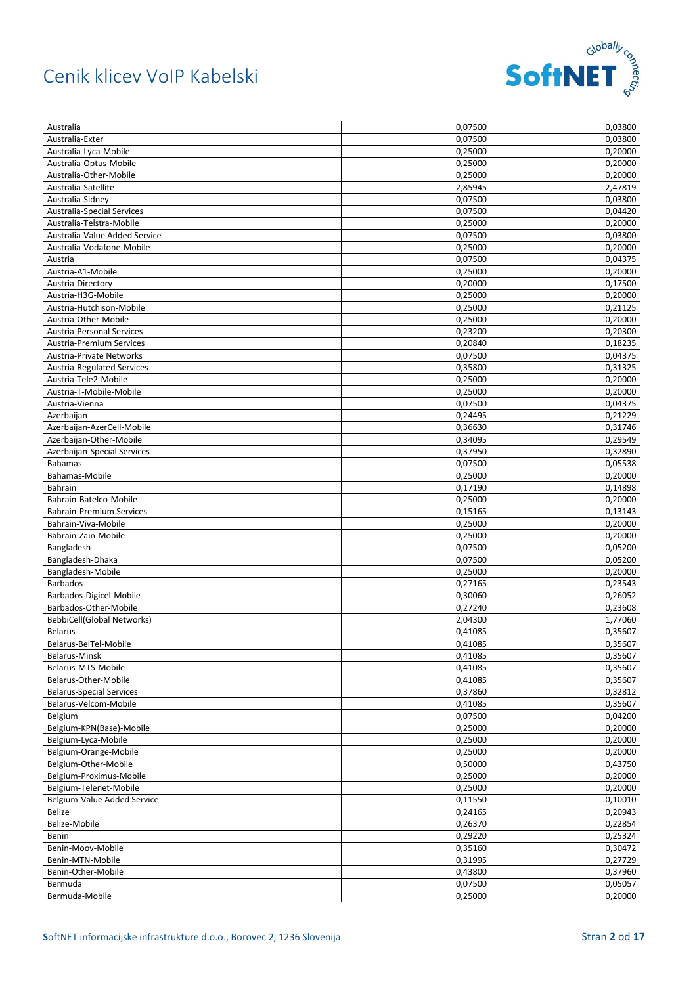

| Australia                         | 0,07500 | 0,03800            |
|-----------------------------------|---------|--------------------|
| Australia-Exter                   | 0,07500 | 0,03800            |
| Australia-Lyca-Mobile             | 0,25000 | 0,20000            |
| Australia-Optus-Mobile            | 0,25000 | 0,20000            |
| Australia-Other-Mobile            | 0,25000 | 0,20000            |
| Australia-Satellite               | 2,85945 | 2,47819            |
| Australia-Sidney                  | 0,07500 | 0,03800            |
| Australia-Special Services        | 0,07500 | 0,04420            |
| Australia-Telstra-Mobile          | 0,25000 | 0,20000            |
| Australia-Value Added Service     | 0,07500 | 0,03800            |
| Australia-Vodafone-Mobile         | 0,25000 | 0,20000            |
| Austria                           | 0,07500 | 0,04375            |
| Austria-A1-Mobile                 | 0,25000 | 0,20000            |
| Austria-Directory                 | 0,20000 | 0,17500            |
| Austria-H3G-Mobile                | 0,25000 | 0,20000            |
| Austria-Hutchison-Mobile          | 0,25000 | 0,21125            |
| Austria-Other-Mobile              | 0,25000 | 0,20000            |
| <b>Austria-Personal Services</b>  | 0,23200 | 0,20300            |
| <b>Austria-Premium Services</b>   | 0,20840 | 0,18235            |
| Austria-Private Networks          | 0,07500 | 0,04375            |
| <b>Austria-Regulated Services</b> | 0,35800 | 0,31325            |
| Austria-Tele2-Mobile              | 0,25000 | 0,20000            |
| Austria-T-Mobile-Mobile           | 0,25000 | 0.20000            |
| Austria-Vienna                    | 0,07500 | 0,04375            |
|                                   | 0,24495 |                    |
| Azerbaijan                        |         | 0,21229<br>0,31746 |
| Azerbaijan-AzerCell-Mobile        | 0,36630 |                    |
| Azerbaijan-Other-Mobile           | 0,34095 | 0,29549            |
| Azerbaijan-Special Services       | 0,37950 | 0,32890            |
| <b>Bahamas</b>                    | 0,07500 | 0,05538            |
| Bahamas-Mobile                    | 0,25000 | 0,20000            |
| <b>Bahrain</b>                    | 0,17190 | 0,14898            |
| Bahrain-Batelco-Mobile            | 0,25000 | 0,20000            |
| <b>Bahrain-Premium Services</b>   | 0,15165 | 0,13143            |
| Bahrain-Viva-Mobile               | 0,25000 | 0,20000            |
| Bahrain-Zain-Mobile               | 0,25000 | 0,20000            |
| Bangladesh                        | 0,07500 | 0,05200            |
| Bangladesh-Dhaka                  | 0,07500 | 0,05200            |
| Bangladesh-Mobile                 | 0,25000 | 0,20000            |
| <b>Barbados</b>                   | 0,27165 | 0,23543            |
| Barbados-Digicel-Mobile           | 0,30060 | 0,26052            |
| Barbados-Other-Mobile             | 0,27240 | 0,23608            |
| BebbiCell(Global Networks)        | 2,04300 | 1,77060            |
| <b>Belarus</b>                    | 0.41085 | 0,35607            |
| Belarus-BelTel-Mobile             | 0,41085 | 0,35607            |
| Belarus-Minsk                     | 0,41085 | 0,35607            |
| Belarus-MTS-Mobile                | 0,41085 | 0,35607            |
| Belarus-Other-Mobile              | 0,41085 | 0,35607            |
| <b>Belarus-Special Services</b>   | 0,37860 | 0,32812            |
| Belarus-Velcom-Mobile             | 0,41085 | 0,35607            |
| Belgium                           | 0,07500 | 0,04200            |
| Belgium-KPN(Base)-Mobile          | 0,25000 | 0,20000            |
| Belgium-Lyca-Mobile               | 0,25000 | 0,20000            |
| Belgium-Orange-Mobile             | 0,25000 | 0,20000            |
| Belgium-Other-Mobile              | 0,50000 | 0,43750            |
| Belgium-Proximus-Mobile           | 0,25000 | 0,20000            |
| Belgium-Telenet-Mobile            | 0,25000 | 0,20000            |
| Belgium-Value Added Service       | 0,11550 | 0,10010            |
| Belize                            | 0,24165 | 0,20943            |
| Belize-Mobile                     | 0,26370 | 0,22854            |
| Benin                             | 0,29220 | 0,25324            |
| Benin-Moov-Mobile                 | 0,35160 | 0,30472            |
| Benin-MTN-Mobile                  | 0,31995 | 0,27729            |
| Benin-Other-Mobile                | 0,43800 | 0,37960            |
| Bermuda                           | 0,07500 | 0,05057            |
| Bermuda-Mobile                    | 0,25000 | 0,20000            |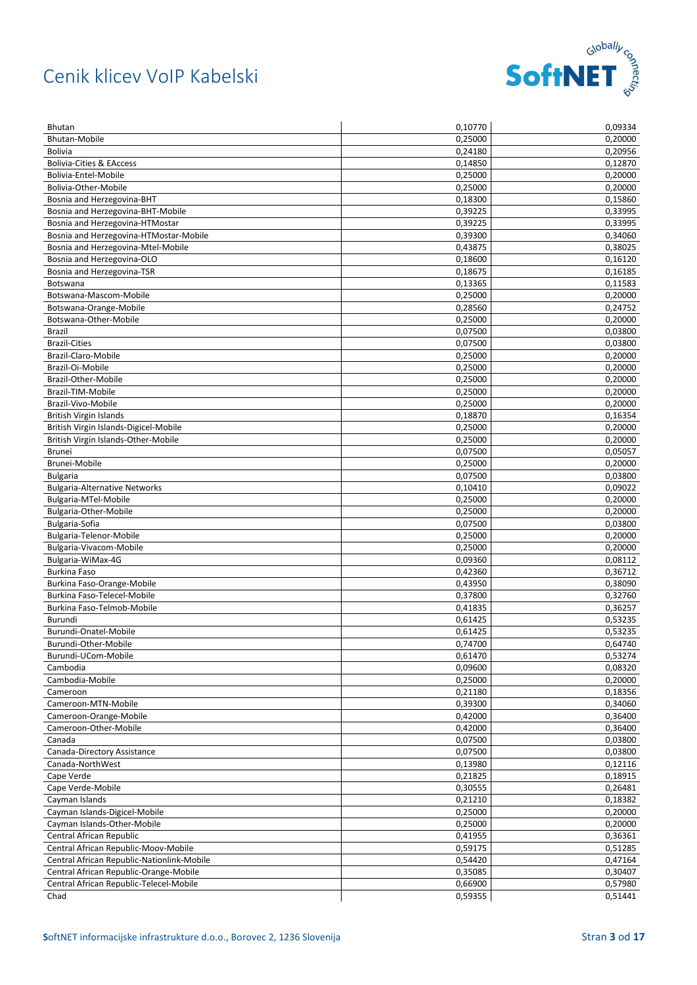

| <b>Bhutan</b>                              | 0,10770 | 0,09334 |
|--------------------------------------------|---------|---------|
| <b>Bhutan-Mobile</b>                       | 0,25000 | 0,20000 |
| <b>Bolivia</b>                             | 0,24180 | 0,20956 |
| <b>Bolivia-Cities &amp; EAccess</b>        | 0,14850 | 0,12870 |
| Bolivia-Entel-Mobile                       | 0,25000 | 0,20000 |
| Bolivia-Other-Mobile                       | 0,25000 | 0,20000 |
| Bosnia and Herzegovina-BHT                 | 0,18300 | 0,15860 |
| Bosnia and Herzegovina-BHT-Mobile          | 0,39225 | 0,33995 |
| Bosnia and Herzegovina-HTMostar            | 0,39225 | 0,33995 |
| Bosnia and Herzegovina-HTMostar-Mobile     | 0,39300 | 0,34060 |
| Bosnia and Herzegovina-Mtel-Mobile         | 0,43875 | 0,38025 |
| Bosnia and Herzegovina-OLO                 | 0,18600 | 0,16120 |
| Bosnia and Herzegovina-TSR                 | 0,18675 | 0,16185 |
| Botswana                                   | 0,13365 | 0,11583 |
| Botswana-Mascom-Mobile                     | 0,25000 | 0,20000 |
| Botswana-Orange-Mobile                     | 0,28560 | 0,24752 |
| Botswana-Other-Mobile                      | 0,25000 | 0,20000 |
| <b>Brazil</b>                              | 0,07500 | 0,03800 |
| <b>Brazil-Cities</b>                       | 0,07500 | 0,03800 |
| Brazil-Claro-Mobile                        | 0,25000 | 0,20000 |
| Brazil-Oi-Mobile                           | 0,25000 | 0,20000 |
| Brazil-Other-Mobile                        | 0,25000 | 0,20000 |
| Brazil-TIM-Mobile                          | 0,25000 | 0,20000 |
| Brazil-Vivo-Mobile                         | 0,25000 | 0.20000 |
| British Virgin Islands                     | 0,18870 | 0,16354 |
| British Virgin Islands-Digicel-Mobile      | 0,25000 | 0,20000 |
| British Virgin Islands-Other-Mobile        | 0,25000 | 0,20000 |
| <b>Brunei</b>                              | 0,07500 | 0,05057 |
| Brunei-Mobile                              | 0,25000 | 0,20000 |
| <b>Bulgaria</b>                            | 0,07500 | 0,03800 |
| <b>Bulgaria-Alternative Networks</b>       | 0,10410 | 0,09022 |
| Bulgaria-MTel-Mobile                       | 0,25000 | 0,20000 |
| Bulgaria-Other-Mobile                      | 0,25000 | 0,20000 |
| Bulgaria-Sofia                             | 0,07500 | 0,03800 |
| Bulgaria-Telenor-Mobile                    | 0,25000 | 0,20000 |
| Bulgaria-Vivacom-Mobile                    | 0,25000 | 0,20000 |
| Bulgaria-WiMax-4G                          | 0,09360 | 0,08112 |
| <b>Burkina Faso</b>                        | 0,42360 | 0,36712 |
| Burkina Faso-Orange-Mobile                 | 0,43950 | 0,38090 |
| Burkina Faso-Telecel-Mobile                | 0,37800 | 0,32760 |
| Burkina Faso-Telmob-Mobile                 | 0,41835 | 0,36257 |
| Burundi                                    | 0,61425 | 0,53235 |
| Burundi-Onatel-Mobile                      | 0,61425 | 0,53235 |
| Burundi-Other-Mobile                       | 0,74700 | 0,64740 |
| Burundi-UCom-Mobile                        | 0,61470 | 0,53274 |
| Cambodia                                   | 0,09600 | 0,08320 |
| Cambodia-Mobile                            | 0,25000 | 0,20000 |
| Cameroon                                   | 0,21180 | 0,18356 |
| Cameroon-MTN-Mobile                        | 0,39300 | 0,34060 |
| Cameroon-Orange-Mobile                     | 0,42000 | 0,36400 |
| Cameroon-Other-Mobile                      | 0,42000 | 0,36400 |
| Canada                                     | 0,07500 | 0,03800 |
| Canada-Directory Assistance                | 0,07500 | 0,03800 |
| Canada-NorthWest                           | 0,13980 | 0,12116 |
| Cape Verde                                 | 0,21825 | 0,18915 |
| Cape Verde-Mobile                          | 0,30555 | 0,26481 |
| Cayman Islands                             | 0,21210 | 0,18382 |
| Cayman Islands-Digicel-Mobile              | 0,25000 | 0,20000 |
| Cayman Islands-Other-Mobile                | 0,25000 | 0,20000 |
| Central African Republic                   | 0,41955 | 0,36361 |
| Central African Republic-Moov-Mobile       | 0,59175 | 0,51285 |
| Central African Republic-Nationlink-Mobile | 0,54420 | 0,47164 |
| Central African Republic-Orange-Mobile     | 0,35085 | 0,30407 |
| Central African Republic-Telecel-Mobile    | 0,66900 | 0,57980 |
| Chad                                       | 0,59355 | 0,51441 |
|                                            |         |         |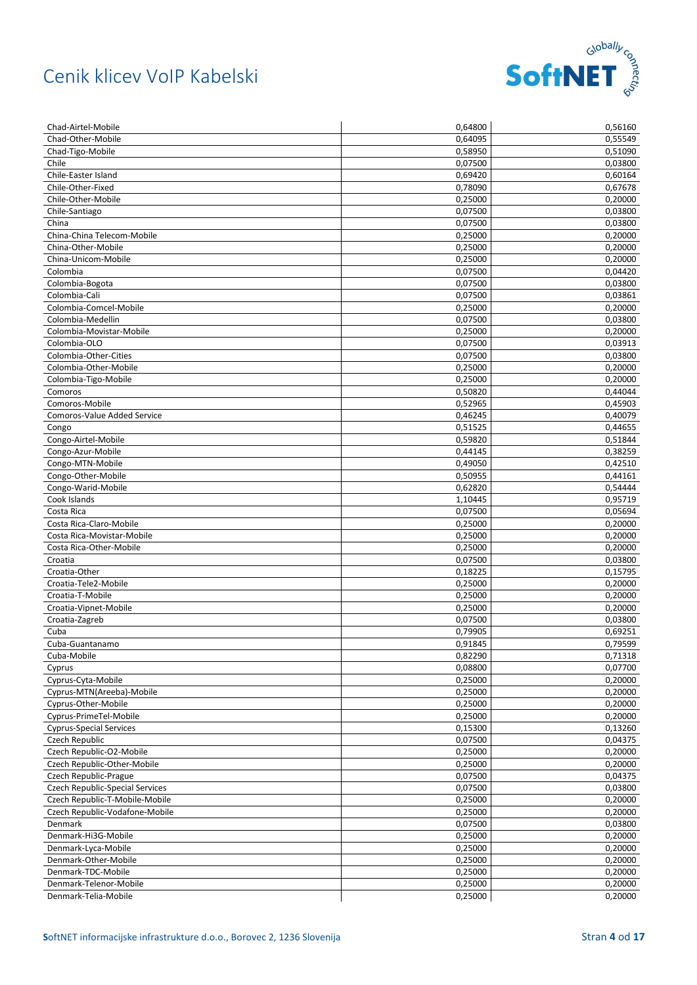

| Chad-Airtel-Mobile                     | 0,64800            | 0,56160            |
|----------------------------------------|--------------------|--------------------|
| Chad-Other-Mobile                      | 0,64095            | 0,55549            |
| Chad-Tigo-Mobile                       | 0.58950            | 0,51090            |
| Chile                                  | 0,07500            | 0,03800            |
| Chile-Easter Island                    | 0,69420            | 0,60164            |
| Chile-Other-Fixed                      | 0,78090            | 0,67678            |
| Chile-Other-Mobile                     | 0,25000            | 0,20000            |
| Chile-Santiago                         | 0,07500            | 0,03800            |
| China                                  | 0,07500            | 0,03800            |
| China-China Telecom-Mobile             | 0,25000            | 0,20000            |
| China-Other-Mobile                     | 0,25000            | 0,20000            |
| China-Unicom-Mobile                    | 0,25000            | 0,20000            |
| Colombia                               | 0,07500            | 0,04420            |
| Colombia-Bogota                        | 0,07500            | 0,03800            |
| Colombia-Cali                          | 0,07500            | 0,03861            |
| Colombia-Comcel-Mobile                 | 0,25000            | 0,20000            |
| Colombia-Medellin                      | 0,07500            | 0,03800            |
| Colombia-Movistar-Mobile               | 0,25000            | 0,20000            |
| Colombia-OLO                           | 0,07500            | 0,03913            |
| Colombia-Other-Cities                  | 0,07500            | 0,03800            |
| Colombia-Other-Mobile                  | 0,25000            | 0,20000            |
| Colombia-Tigo-Mobile                   | 0,25000            | 0,20000            |
| Comoros                                | 0,50820            | 0,44044            |
| Comoros-Mobile                         | 0,52965            | 0,45903            |
| Comoros-Value Added Service            |                    |                    |
|                                        | 0,46245<br>0,51525 | 0,40079            |
| Congo                                  |                    | 0,44655            |
| Congo-Airtel-Mobile                    | 0,59820            | 0,51844            |
| Congo-Azur-Mobile                      | 0,44145            | 0,38259            |
| Congo-MTN-Mobile                       | 0,49050            | 0,42510            |
| Congo-Other-Mobile                     | 0,50955            | 0,44161            |
| Congo-Warid-Mobile                     | 0,62820            | 0,54444            |
| Cook Islands                           | 1,10445            | 0,95719            |
| Costa Rica                             | 0,07500            | 0,05694            |
| Costa Rica-Claro-Mobile                | 0,25000            | 0,20000            |
| Costa Rica-Movistar-Mobile             | 0,25000            | 0,20000            |
| Costa Rica-Other-Mobile                | 0,25000            | 0,20000            |
| Croatia                                | 0,07500            | 0,03800            |
| Croatia-Other                          | 0,18225            | 0,15795            |
| Croatia-Tele2-Mobile                   | 0,25000            | 0,20000            |
| Croatia-T-Mobile                       | 0,25000            | 0,20000            |
| Croatia-Vipnet-Mobile                  | 0,25000            | 0,20000            |
| Croatia-Zagreb                         | 0,07500            | 0,03800            |
| Cuba                                   | 0,79905            | 0,69251            |
| Cuba-Guantanamo                        | 0,91845            | 0,79599            |
| Cuba-Mobile                            | 0,82290            | 0,71318            |
| Cyprus                                 | 0,08800            | 0,07700            |
| Cyprus-Cyta-Mobile                     | 0,25000            | 0,20000            |
| Cyprus-MTN(Areeba)-Mobile              | 0,25000            | 0,20000            |
| Cyprus-Other-Mobile                    | 0,25000            | 0,20000            |
| Cyprus-PrimeTel-Mobile                 | 0,25000            | 0,20000            |
| <b>Cyprus-Special Services</b>         | 0,15300            | 0,13260            |
| Czech Republic                         | 0,07500            | 0,04375            |
| Czech Republic-O2-Mobile               | 0,25000            | 0,20000            |
| Czech Republic-Other-Mobile            | 0,25000            | 0,20000            |
| Czech Republic-Prague                  | 0,07500            | 0,04375            |
| <b>Czech Republic-Special Services</b> | 0,07500            | 0,03800            |
| Czech Republic-T-Mobile-Mobile         | 0,25000            | 0,20000            |
| Czech Republic-Vodafone-Mobile         | 0,25000            | 0,20000            |
| Denmark                                | 0,07500            | 0,03800            |
| Denmark-Hi3G-Mobile                    | 0,25000            | 0,20000            |
| Denmark-Lyca-Mobile                    |                    | 0,20000            |
| Denmark-Other-Mobile                   | 0,25000            |                    |
|                                        | 0,25000            | 0,20000            |
| Denmark-TDC-Mobile                     |                    |                    |
| Denmark-Telenor-Mobile                 | 0,25000<br>0,25000 | 0,20000<br>0,20000 |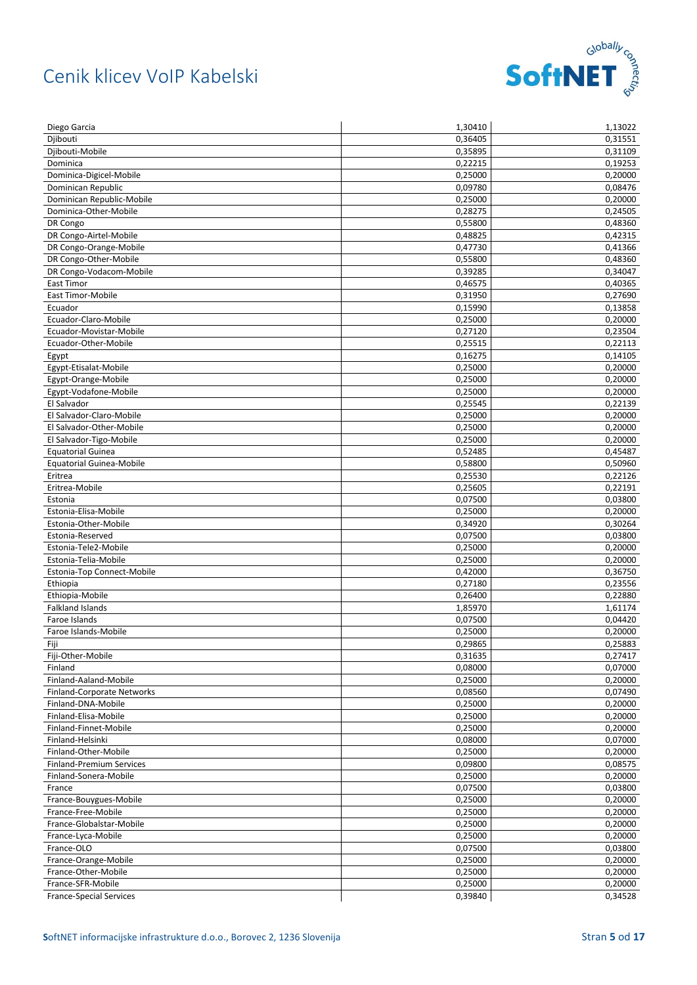

| Diego Garcia                    | 1,30410              | 1,13022 |
|---------------------------------|----------------------|---------|
| Diibouti                        | 0,36405              | 0,31551 |
| Djibouti-Mobile                 | 0.35895              | 0,31109 |
| Dominica                        | 0,22215              | 0,19253 |
| Dominica-Digicel-Mobile         | 0,25000              | 0,20000 |
| Dominican Republic              | 0,09780              | 0,08476 |
| Dominican Republic-Mobile       | 0,25000              | 0,20000 |
| Dominica-Other-Mobile           | 0,28275              | 0,24505 |
| DR Congo                        | 0,55800              | 0,48360 |
| DR Congo-Airtel-Mobile          | 0,48825              | 0,42315 |
| DR Congo-Orange-Mobile          | 0,47730              | 0,41366 |
| DR Congo-Other-Mobile           | 0,55800              | 0,48360 |
| DR Congo-Vodacom-Mobile         | 0,39285              | 0,34047 |
| East Timor                      | 0,46575              | 0,40365 |
| East Timor-Mobile               | 0,31950              | 0,27690 |
| Ecuador                         | 0,15990              | 0,13858 |
| Ecuador-Claro-Mobile            | 0,25000              | 0,20000 |
| Ecuador-Movistar-Mobile         | 0,27120              | 0,23504 |
| Ecuador-Other-Mobile            | 0,25515              | 0,22113 |
| Egypt                           | 0,16275              | 0,14105 |
| Egypt-Etisalat-Mobile           | 0,25000              | 0,20000 |
| Egypt-Orange-Mobile             | 0,25000              | 0,20000 |
| Egypt-Vodafone-Mobile           | 0,25000              | 0,20000 |
| El Salvador                     | 0,25545              | 0,22139 |
|                                 |                      |         |
| El Salvador-Claro-Mobile        | 0,25000              | 0,20000 |
| El Salvador-Other-Mobile        | 0,25000              | 0,20000 |
| El Salvador-Tigo-Mobile         | 0,25000              | 0,20000 |
| <b>Equatorial Guinea</b>        | 0,52485              | 0,45487 |
| <b>Equatorial Guinea-Mobile</b> | 0,58800              | 0,50960 |
| Eritrea                         | 0,25530              | 0,22126 |
| Eritrea-Mobile                  | 0,25605              | 0,22191 |
| Estonia                         | 0,07500              | 0,03800 |
| Estonia-Elisa-Mobile            | 0,25000              | 0,20000 |
| Estonia-Other-Mobile            | 0,34920              | 0,30264 |
| Estonia-Reserved                | 0,07500              | 0,03800 |
| Estonia-Tele2-Mobile            | 0,25000              | 0,20000 |
| Estonia-Telia-Mobile            | 0,25000              | 0,20000 |
| Estonia-Top Connect-Mobile      | 0,42000              | 0,36750 |
| Ethiopia                        | 0,27180              | 0,23556 |
| Ethiopia-Mobile                 | 0,26400              | 0,22880 |
| <b>Falkland Islands</b>         | $\overline{1,85970}$ | 1,61174 |
| Faroe Islands                   | 0,07500              | 0,04420 |
| Faroe Islands-Mobile            | 0,25000              | 0,20000 |
| Fiji                            | 0,29865              | 0,25883 |
| Fiji-Other-Mobile               | 0,31635              | 0,27417 |
| Finland                         | 0,08000              | 0,07000 |
| Finland-Aaland-Mobile           | 0,25000              | 0,20000 |
| Finland-Corporate Networks      | 0,08560              | 0,07490 |
| Finland-DNA-Mobile              | 0,25000              | 0,20000 |
| Finland-Elisa-Mobile            | 0,25000              | 0,20000 |
| Finland-Finnet-Mobile           | 0,25000              | 0,20000 |
| Finland-Helsinki                | 0,08000              | 0,07000 |
| Finland-Other-Mobile            | 0,25000              | 0,20000 |
| <b>Finland-Premium Services</b> | 0,09800              | 0,08575 |
| Finland-Sonera-Mobile           | 0,25000              | 0,20000 |
| France                          | 0,07500              | 0,03800 |
| France-Bouygues-Mobile          | 0,25000              | 0,20000 |
| France-Free-Mobile              | 0,25000              | 0,20000 |
| France-Globalstar-Mobile        | 0,25000              | 0,20000 |
| France-Lyca-Mobile              | 0,25000              | 0,20000 |
| France-OLO                      | 0,07500              | 0,03800 |
| France-Orange-Mobile            | 0,25000              | 0,20000 |
| France-Other-Mobile             | 0,25000              | 0,20000 |
| France-SFR-Mobile               | 0,25000              | 0,20000 |
| <b>France-Special Services</b>  | 0,39840              | 0,34528 |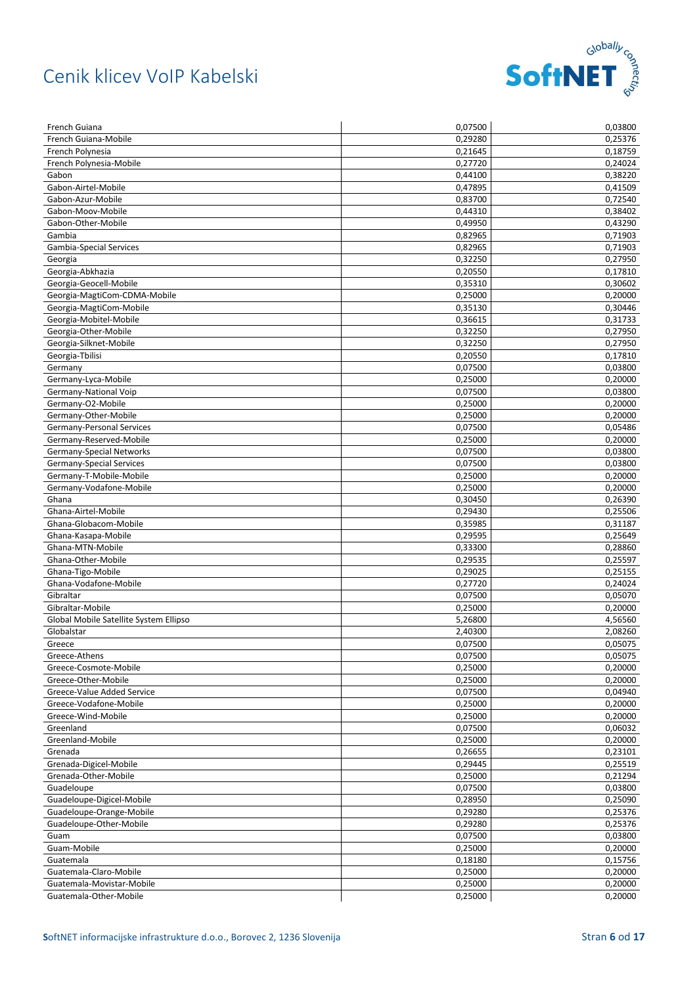

| French Guiana                              | 0,07500            | 0,03800            |
|--------------------------------------------|--------------------|--------------------|
| French Guiana-Mobile                       | 0,29280            | 0,25376            |
| French Polynesia                           | 0,21645            | 0,18759            |
| French Polynesia-Mobile                    | 0,27720            | 0,24024            |
| Gabon                                      | 0,44100            | 0,38220            |
| Gabon-Airtel-Mobile                        | 0,47895            | 0,41509            |
| Gabon-Azur-Mobile                          | 0,83700            | 0,72540            |
| Gabon-Moov-Mobile                          | 0,44310            | 0,38402            |
| Gabon-Other-Mobile                         | 0,49950            | 0,43290            |
| Gambia                                     | 0,82965            | 0,71903            |
| Gambia-Special Services                    | 0,82965            | 0,71903            |
| Georgia                                    | 0,32250            | 0,27950            |
| Georgia-Abkhazia                           | 0,20550            | 0,17810            |
| Georgia-Geocell-Mobile                     | 0,35310            | 0,30602            |
| Georgia-MagtiCom-CDMA-Mobile               | 0,25000            | 0,20000            |
| Georgia-MagtiCom-Mobile                    | 0,35130            | 0,30446            |
| Georgia-Mobitel-Mobile                     | 0,36615            | 0,31733            |
| Georgia-Other-Mobile                       | 0,32250            | 0,27950            |
| Georgia-Silknet-Mobile                     | 0,32250            | 0,27950            |
| Georgia-Tbilisi                            | 0,20550            | 0,17810            |
| Germany                                    | 0,07500            | 0,03800            |
| Germany-Lyca-Mobile                        | 0,25000            | 0,20000            |
| Germany-National Voip                      | 0,07500            | 0,03800            |
| Germany-O2-Mobile                          | 0,25000            | 0,20000            |
| Germany-Other-Mobile                       | 0,25000            | 0,20000            |
| Germany-Personal Services                  | 0,07500            | 0,05486            |
| Germany-Reserved-Mobile                    | 0,25000            | 0,20000            |
| <b>Germany-Special Networks</b>            | 0,07500            | 0,03800            |
| Germany-Special Services                   | 0,07500            | 0,03800            |
| Germany-T-Mobile-Mobile                    | 0,25000            | 0,20000            |
| Germany-Vodafone-Mobile                    | 0,25000            | 0,20000            |
| Ghana                                      | 0,30450            | 0,26390            |
| Ghana-Airtel-Mobile                        | 0,29430            | 0,25506            |
| Ghana-Globacom-Mobile                      | 0,35985            | 0,31187            |
|                                            |                    |                    |
| Ghana-Kasapa-Mobile<br>Ghana-MTN-Mobile    | 0,29595            | 0,25649<br>0,28860 |
| Ghana-Other-Mobile                         | 0,33300<br>0,29535 | 0,25597            |
|                                            |                    |                    |
| Ghana-Tigo-Mobile<br>Ghana-Vodafone-Mobile | 0,29025            | 0,25155            |
|                                            | 0,27720            | 0,24024            |
| Gibraltar                                  | 0,07500            | 0,05070            |
| Gibraltar-Mobile                           | 0,25000            | 0,20000            |
| Global Mobile Satellite System Ellipso     | 5,26800            | 4,56560            |
| Globalstar                                 | 2,40300            | 2,08260            |
| Greece                                     | 0,07500            | 0,05075            |
| Greece-Athens                              | 0,07500            | 0,05075            |
| Greece-Cosmote-Mobile                      | 0,25000            | 0,20000            |
| Greece-Other-Mobile                        | 0,25000            | 0,20000            |
| Greece-Value Added Service                 | 0,07500            | 0,04940            |
| Greece-Vodafone-Mobile                     | 0,25000            | 0,20000            |
| Greece-Wind-Mobile                         | 0,25000            | 0,20000            |
| Greenland                                  | 0,07500            | 0,06032            |
| Greenland-Mobile                           | 0,25000            | 0,20000            |
| Grenada                                    | 0,26655            | 0,23101            |
| Grenada-Digicel-Mobile                     | 0,29445            | 0,25519            |
| Grenada-Other-Mobile                       | 0,25000            | 0,21294            |
| Guadeloupe                                 | 0,07500            | 0,03800            |
| Guadeloupe-Digicel-Mobile                  | 0,28950            | 0,25090            |
| Guadeloupe-Orange-Mobile                   | 0,29280            | 0,25376            |
| Guadeloupe-Other-Mobile                    | 0,29280            | 0,25376            |
| Guam                                       | 0,07500            | 0,03800            |
| Guam-Mobile                                | 0,25000            | 0,20000            |
| Guatemala                                  | 0,18180            | 0,15756            |
| Guatemala-Claro-Mobile                     | 0,25000            | 0,20000            |
| Guatemala-Movistar-Mobile                  | 0,25000            | 0,20000            |
| Guatemala-Other-Mobile                     | 0,25000            | 0,20000            |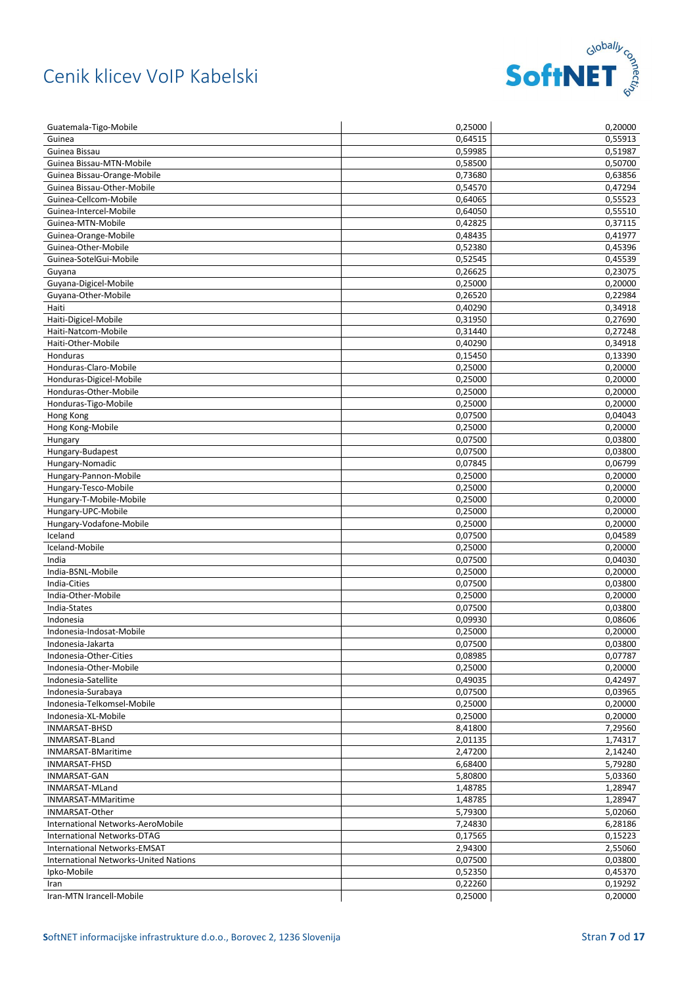

| Guatemala-Tigo-Mobile                        | 0,25000 | 0,20000 |
|----------------------------------------------|---------|---------|
| Guinea                                       | 0,64515 | 0,55913 |
| Guinea Bissau                                | 0,59985 | 0,51987 |
| Guinea Bissau-MTN-Mobile                     | 0,58500 | 0,50700 |
| Guinea Bissau-Orange-Mobile                  | 0,73680 | 0,63856 |
| Guinea Bissau-Other-Mobile                   | 0.54570 | 0,47294 |
| Guinea-Cellcom-Mobile                        | 0,64065 | 0,55523 |
| Guinea-Intercel-Mobile                       | 0,64050 | 0,55510 |
| Guinea-MTN-Mobile                            | 0,42825 | 0,37115 |
| Guinea-Orange-Mobile                         | 0,48435 | 0,41977 |
| Guinea-Other-Mobile                          | 0,52380 | 0,45396 |
| Guinea-SotelGui-Mobile                       | 0,52545 | 0,45539 |
| Guyana                                       | 0.26625 | 0,23075 |
| Guyana-Digicel-Mobile                        | 0,25000 | 0,20000 |
| Guyana-Other-Mobile                          | 0,26520 | 0,22984 |
| Haiti                                        | 0,40290 | 0,34918 |
| Haiti-Digicel-Mobile                         | 0,31950 | 0,27690 |
| Haiti-Natcom-Mobile                          | 0,31440 | 0,27248 |
| Haiti-Other-Mobile                           | 0,40290 | 0,34918 |
| Honduras                                     | 0,15450 | 0,13390 |
| Honduras-Claro-Mobile                        | 0,25000 | 0,20000 |
| Honduras-Digicel-Mobile                      | 0,25000 | 0,20000 |
| Honduras-Other-Mobile                        | 0,25000 | 0,20000 |
| Honduras-Tigo-Mobile                         | 0,25000 | 0,20000 |
| Hong Kong                                    | 0,07500 | 0,04043 |
| Hong Kong-Mobile                             | 0,25000 | 0,20000 |
| Hungary                                      | 0,07500 | 0,03800 |
| Hungary-Budapest                             | 0,07500 | 0,03800 |
| Hungary-Nomadic                              | 0,07845 | 0,06799 |
| Hungary-Pannon-Mobile                        | 0,25000 | 0,20000 |
| Hungary-Tesco-Mobile                         | 0,25000 | 0,20000 |
| Hungary-T-Mobile-Mobile                      | 0,25000 | 0,20000 |
| Hungary-UPC-Mobile                           | 0,25000 | 0,20000 |
| Hungary-Vodafone-Mobile                      | 0,25000 | 0,20000 |
| Iceland                                      | 0,07500 | 0,04589 |
| Iceland-Mobile                               | 0,25000 | 0,20000 |
| India                                        | 0,07500 | 0,04030 |
| India-BSNL-Mobile                            | 0,25000 | 0,20000 |
| India-Cities                                 | 0,07500 | 0,03800 |
| India-Other-Mobile                           | 0,25000 | 0,20000 |
| India-States                                 | 0,07500 | 0,03800 |
| Indonesia                                    | 0,09930 | 0,08606 |
| Indonesia-Indosat-Mobile                     | 0,25000 | 0,20000 |
| Indonesia-Jakarta                            | 0,07500 | 0,03800 |
| Indonesia-Other-Cities                       | 0,08985 | 0,07787 |
| Indonesia-Other-Mobile                       | 0,25000 | 0,20000 |
| Indonesia-Satellite                          | 0,49035 | 0,42497 |
| Indonesia-Surabaya                           | 0,07500 | 0,03965 |
| Indonesia-Telkomsel-Mobile                   | 0,25000 | 0,20000 |
| Indonesia-XL-Mobile                          | 0,25000 | 0,20000 |
| INMARSAT-BHSD                                | 8,41800 | 7,29560 |
| INMARSAT-BLand                               | 2,01135 | 1,74317 |
| INMARSAT-BMaritime                           | 2,47200 | 2,14240 |
| <b>INMARSAT-FHSD</b>                         | 6,68400 | 5,79280 |
| <b>INMARSAT-GAN</b>                          | 5,80800 | 5,03360 |
| INMARSAT-MLand                               | 1,48785 | 1,28947 |
| INMARSAT-MMaritime                           | 1,48785 | 1,28947 |
| INMARSAT-Other                               | 5,79300 | 5,02060 |
| International Networks-AeroMobile            | 7,24830 | 6,28186 |
| International Networks-DTAG                  | 0,17565 | 0,15223 |
| International Networks-EMSAT                 | 2,94300 | 2,55060 |
| <b>International Networks-United Nations</b> | 0,07500 | 0,03800 |
| Ipko-Mobile                                  | 0,52350 | 0,45370 |
| Iran                                         | 0,22260 | 0,19292 |
| Iran-MTN Irancell-Mobile                     | 0,25000 | 0,20000 |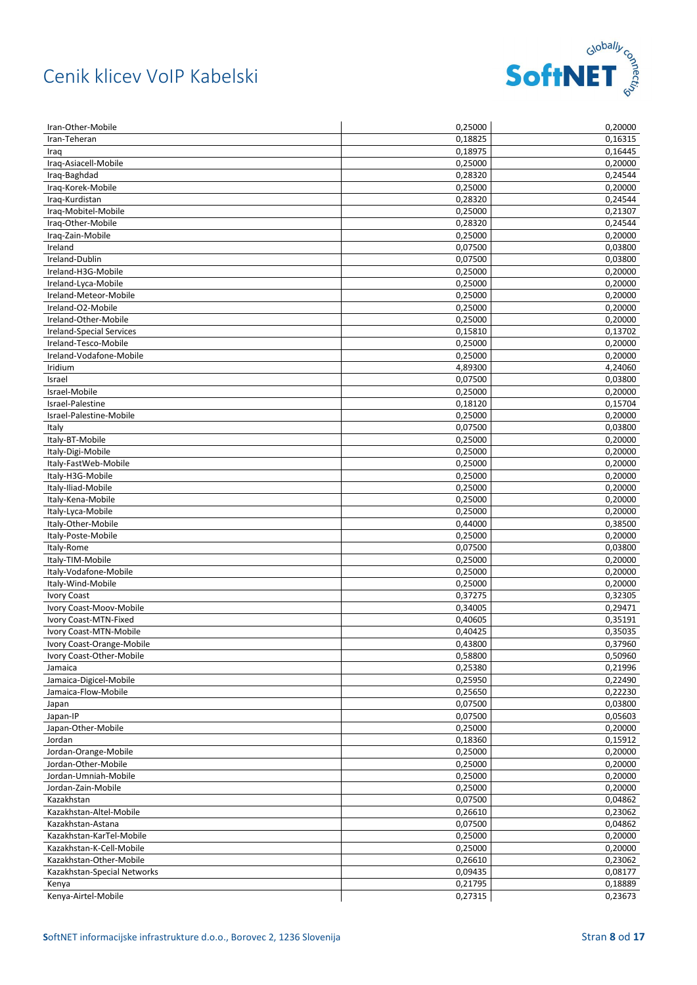

| 0,18825<br>0,16315<br>Iran-Teheran<br>0,18975<br>0,16445<br>Iraq<br>Iraq-Asiacell-Mobile<br>0,20000<br>0,25000<br>0,24544<br>0,28320<br>Iraq-Baghdad<br>0,20000<br>Iraq-Korek-Mobile<br>0,25000<br>0,24544<br>Iraq-Kurdistan<br>0,28320<br>0,25000<br>0,21307<br>Iraq-Mobitel-Mobile<br>Iraq-Other-Mobile<br>0,28320<br>0,24544<br>0,20000<br>Iraq-Zain-Mobile<br>0,25000<br>Ireland<br>0,03800<br>0,07500<br>Ireland-Dublin<br>0,07500<br>0,03800<br>0,20000<br>Ireland-H3G-Mobile<br>0,25000<br>0,20000<br>Ireland-Lyca-Mobile<br>0,25000<br>Ireland-Meteor-Mobile<br>0,25000<br>0,20000<br>Ireland-O2-Mobile<br>0,25000<br>0,20000<br>0,20000<br>Ireland-Other-Mobile<br>0,25000<br>Ireland-Special Services<br>0,13702<br>0,15810<br>Ireland-Tesco-Mobile<br>0,25000<br>0,20000<br>Ireland-Vodafone-Mobile<br>0,20000<br>0,25000<br>Iridium<br>4,89300<br>4,24060<br>Israel<br>0,07500<br>0,03800<br>Israel-Mobile<br>0,25000<br>0,20000<br>0,15704<br>Israel-Palestine<br>0,18120<br>Israel-Palestine-Mobile<br>0,20000<br>0,25000<br>0,03800<br>0,07500<br>Italy<br>0,25000<br>0,20000<br>Italy-BT-Mobile<br>Italy-Digi-Mobile<br>0,25000<br>0,20000<br>Italy-FastWeb-Mobile<br>0,25000<br>0,20000<br>Italy-H3G-Mobile<br>0,25000<br>0,20000<br>0,20000<br>Italy-Iliad-Mobile<br>0,25000<br>Italy-Kena-Mobile<br>0,25000<br>0,20000<br>0,20000<br>Italy-Lyca-Mobile<br>0,25000<br>0,44000<br>0,38500<br>Italy-Other-Mobile<br>Italy-Poste-Mobile<br>0,25000<br>0,20000<br>0,07500<br>0,03800<br>Italy-Rome<br>0,20000<br>Italy-TIM-Mobile<br>0,25000<br>0,20000<br>Italy-Vodafone-Mobile<br>0,25000<br>Italy-Wind-Mobile<br>0,25000<br>0,20000<br>0,37275<br>0,32305<br><b>Ivory Coast</b><br>0,29471<br>Ivory Coast-Moov-Mobile<br>0,34005<br>Ivory Coast-MTN-Fixed<br>0,35191<br>0,40605<br>Ivory Coast-MTN-Mobile<br>0,40425<br>0,35035<br>0,43800<br>0,37960<br>Ivory Coast-Orange-Mobile<br>0,58800<br>0,50960<br>Ivory Coast-Other-Mobile<br>0,21996<br>Jamaica<br>0,25380<br>Jamaica-Digicel-Mobile<br>0,25950<br>0,22490<br>0,22230<br>0,25650<br>Jamaica-Flow-Mobile<br>0,07500<br>0,03800<br>Japan<br>0,05603<br>Japan-IP<br>0,07500<br>0,20000<br>Japan-Other-Mobile<br>0,25000<br>0,15912<br>Jordan<br>0,18360<br>0,20000<br>Jordan-Orange-Mobile<br>0,25000<br>0,25000<br>0,20000<br>Jordan-Other-Mobile<br>0,25000<br>0,20000<br>Jordan-Umniah-Mobile<br>Jordan-Zain-Mobile<br>0,25000<br>0,20000<br>0,07500<br>0,04862<br>Kazakhstan<br>0,23062<br>Kazakhstan-Altel-Mobile<br>0,26610 |
|------------------------------------------------------------------------------------------------------------------------------------------------------------------------------------------------------------------------------------------------------------------------------------------------------------------------------------------------------------------------------------------------------------------------------------------------------------------------------------------------------------------------------------------------------------------------------------------------------------------------------------------------------------------------------------------------------------------------------------------------------------------------------------------------------------------------------------------------------------------------------------------------------------------------------------------------------------------------------------------------------------------------------------------------------------------------------------------------------------------------------------------------------------------------------------------------------------------------------------------------------------------------------------------------------------------------------------------------------------------------------------------------------------------------------------------------------------------------------------------------------------------------------------------------------------------------------------------------------------------------------------------------------------------------------------------------------------------------------------------------------------------------------------------------------------------------------------------------------------------------------------------------------------------------------------------------------------------------------------------------------------------------------------------------------------------------------------------------------------------------------------------------------------------------------------------------------------------------------------------------------------------------------------------------------------------------------------------------------------------------------------------------------------------------------------------------------------------------------------------------------------|
|                                                                                                                                                                                                                                                                                                                                                                                                                                                                                                                                                                                                                                                                                                                                                                                                                                                                                                                                                                                                                                                                                                                                                                                                                                                                                                                                                                                                                                                                                                                                                                                                                                                                                                                                                                                                                                                                                                                                                                                                                                                                                                                                                                                                                                                                                                                                                                                                                                                                                                            |
|                                                                                                                                                                                                                                                                                                                                                                                                                                                                                                                                                                                                                                                                                                                                                                                                                                                                                                                                                                                                                                                                                                                                                                                                                                                                                                                                                                                                                                                                                                                                                                                                                                                                                                                                                                                                                                                                                                                                                                                                                                                                                                                                                                                                                                                                                                                                                                                                                                                                                                            |
|                                                                                                                                                                                                                                                                                                                                                                                                                                                                                                                                                                                                                                                                                                                                                                                                                                                                                                                                                                                                                                                                                                                                                                                                                                                                                                                                                                                                                                                                                                                                                                                                                                                                                                                                                                                                                                                                                                                                                                                                                                                                                                                                                                                                                                                                                                                                                                                                                                                                                                            |
|                                                                                                                                                                                                                                                                                                                                                                                                                                                                                                                                                                                                                                                                                                                                                                                                                                                                                                                                                                                                                                                                                                                                                                                                                                                                                                                                                                                                                                                                                                                                                                                                                                                                                                                                                                                                                                                                                                                                                                                                                                                                                                                                                                                                                                                                                                                                                                                                                                                                                                            |
|                                                                                                                                                                                                                                                                                                                                                                                                                                                                                                                                                                                                                                                                                                                                                                                                                                                                                                                                                                                                                                                                                                                                                                                                                                                                                                                                                                                                                                                                                                                                                                                                                                                                                                                                                                                                                                                                                                                                                                                                                                                                                                                                                                                                                                                                                                                                                                                                                                                                                                            |
|                                                                                                                                                                                                                                                                                                                                                                                                                                                                                                                                                                                                                                                                                                                                                                                                                                                                                                                                                                                                                                                                                                                                                                                                                                                                                                                                                                                                                                                                                                                                                                                                                                                                                                                                                                                                                                                                                                                                                                                                                                                                                                                                                                                                                                                                                                                                                                                                                                                                                                            |
|                                                                                                                                                                                                                                                                                                                                                                                                                                                                                                                                                                                                                                                                                                                                                                                                                                                                                                                                                                                                                                                                                                                                                                                                                                                                                                                                                                                                                                                                                                                                                                                                                                                                                                                                                                                                                                                                                                                                                                                                                                                                                                                                                                                                                                                                                                                                                                                                                                                                                                            |
|                                                                                                                                                                                                                                                                                                                                                                                                                                                                                                                                                                                                                                                                                                                                                                                                                                                                                                                                                                                                                                                                                                                                                                                                                                                                                                                                                                                                                                                                                                                                                                                                                                                                                                                                                                                                                                                                                                                                                                                                                                                                                                                                                                                                                                                                                                                                                                                                                                                                                                            |
|                                                                                                                                                                                                                                                                                                                                                                                                                                                                                                                                                                                                                                                                                                                                                                                                                                                                                                                                                                                                                                                                                                                                                                                                                                                                                                                                                                                                                                                                                                                                                                                                                                                                                                                                                                                                                                                                                                                                                                                                                                                                                                                                                                                                                                                                                                                                                                                                                                                                                                            |
|                                                                                                                                                                                                                                                                                                                                                                                                                                                                                                                                                                                                                                                                                                                                                                                                                                                                                                                                                                                                                                                                                                                                                                                                                                                                                                                                                                                                                                                                                                                                                                                                                                                                                                                                                                                                                                                                                                                                                                                                                                                                                                                                                                                                                                                                                                                                                                                                                                                                                                            |
|                                                                                                                                                                                                                                                                                                                                                                                                                                                                                                                                                                                                                                                                                                                                                                                                                                                                                                                                                                                                                                                                                                                                                                                                                                                                                                                                                                                                                                                                                                                                                                                                                                                                                                                                                                                                                                                                                                                                                                                                                                                                                                                                                                                                                                                                                                                                                                                                                                                                                                            |
|                                                                                                                                                                                                                                                                                                                                                                                                                                                                                                                                                                                                                                                                                                                                                                                                                                                                                                                                                                                                                                                                                                                                                                                                                                                                                                                                                                                                                                                                                                                                                                                                                                                                                                                                                                                                                                                                                                                                                                                                                                                                                                                                                                                                                                                                                                                                                                                                                                                                                                            |
|                                                                                                                                                                                                                                                                                                                                                                                                                                                                                                                                                                                                                                                                                                                                                                                                                                                                                                                                                                                                                                                                                                                                                                                                                                                                                                                                                                                                                                                                                                                                                                                                                                                                                                                                                                                                                                                                                                                                                                                                                                                                                                                                                                                                                                                                                                                                                                                                                                                                                                            |
|                                                                                                                                                                                                                                                                                                                                                                                                                                                                                                                                                                                                                                                                                                                                                                                                                                                                                                                                                                                                                                                                                                                                                                                                                                                                                                                                                                                                                                                                                                                                                                                                                                                                                                                                                                                                                                                                                                                                                                                                                                                                                                                                                                                                                                                                                                                                                                                                                                                                                                            |
|                                                                                                                                                                                                                                                                                                                                                                                                                                                                                                                                                                                                                                                                                                                                                                                                                                                                                                                                                                                                                                                                                                                                                                                                                                                                                                                                                                                                                                                                                                                                                                                                                                                                                                                                                                                                                                                                                                                                                                                                                                                                                                                                                                                                                                                                                                                                                                                                                                                                                                            |
|                                                                                                                                                                                                                                                                                                                                                                                                                                                                                                                                                                                                                                                                                                                                                                                                                                                                                                                                                                                                                                                                                                                                                                                                                                                                                                                                                                                                                                                                                                                                                                                                                                                                                                                                                                                                                                                                                                                                                                                                                                                                                                                                                                                                                                                                                                                                                                                                                                                                                                            |
|                                                                                                                                                                                                                                                                                                                                                                                                                                                                                                                                                                                                                                                                                                                                                                                                                                                                                                                                                                                                                                                                                                                                                                                                                                                                                                                                                                                                                                                                                                                                                                                                                                                                                                                                                                                                                                                                                                                                                                                                                                                                                                                                                                                                                                                                                                                                                                                                                                                                                                            |
|                                                                                                                                                                                                                                                                                                                                                                                                                                                                                                                                                                                                                                                                                                                                                                                                                                                                                                                                                                                                                                                                                                                                                                                                                                                                                                                                                                                                                                                                                                                                                                                                                                                                                                                                                                                                                                                                                                                                                                                                                                                                                                                                                                                                                                                                                                                                                                                                                                                                                                            |
|                                                                                                                                                                                                                                                                                                                                                                                                                                                                                                                                                                                                                                                                                                                                                                                                                                                                                                                                                                                                                                                                                                                                                                                                                                                                                                                                                                                                                                                                                                                                                                                                                                                                                                                                                                                                                                                                                                                                                                                                                                                                                                                                                                                                                                                                                                                                                                                                                                                                                                            |
|                                                                                                                                                                                                                                                                                                                                                                                                                                                                                                                                                                                                                                                                                                                                                                                                                                                                                                                                                                                                                                                                                                                                                                                                                                                                                                                                                                                                                                                                                                                                                                                                                                                                                                                                                                                                                                                                                                                                                                                                                                                                                                                                                                                                                                                                                                                                                                                                                                                                                                            |
|                                                                                                                                                                                                                                                                                                                                                                                                                                                                                                                                                                                                                                                                                                                                                                                                                                                                                                                                                                                                                                                                                                                                                                                                                                                                                                                                                                                                                                                                                                                                                                                                                                                                                                                                                                                                                                                                                                                                                                                                                                                                                                                                                                                                                                                                                                                                                                                                                                                                                                            |
|                                                                                                                                                                                                                                                                                                                                                                                                                                                                                                                                                                                                                                                                                                                                                                                                                                                                                                                                                                                                                                                                                                                                                                                                                                                                                                                                                                                                                                                                                                                                                                                                                                                                                                                                                                                                                                                                                                                                                                                                                                                                                                                                                                                                                                                                                                                                                                                                                                                                                                            |
|                                                                                                                                                                                                                                                                                                                                                                                                                                                                                                                                                                                                                                                                                                                                                                                                                                                                                                                                                                                                                                                                                                                                                                                                                                                                                                                                                                                                                                                                                                                                                                                                                                                                                                                                                                                                                                                                                                                                                                                                                                                                                                                                                                                                                                                                                                                                                                                                                                                                                                            |
|                                                                                                                                                                                                                                                                                                                                                                                                                                                                                                                                                                                                                                                                                                                                                                                                                                                                                                                                                                                                                                                                                                                                                                                                                                                                                                                                                                                                                                                                                                                                                                                                                                                                                                                                                                                                                                                                                                                                                                                                                                                                                                                                                                                                                                                                                                                                                                                                                                                                                                            |
|                                                                                                                                                                                                                                                                                                                                                                                                                                                                                                                                                                                                                                                                                                                                                                                                                                                                                                                                                                                                                                                                                                                                                                                                                                                                                                                                                                                                                                                                                                                                                                                                                                                                                                                                                                                                                                                                                                                                                                                                                                                                                                                                                                                                                                                                                                                                                                                                                                                                                                            |
|                                                                                                                                                                                                                                                                                                                                                                                                                                                                                                                                                                                                                                                                                                                                                                                                                                                                                                                                                                                                                                                                                                                                                                                                                                                                                                                                                                                                                                                                                                                                                                                                                                                                                                                                                                                                                                                                                                                                                                                                                                                                                                                                                                                                                                                                                                                                                                                                                                                                                                            |
|                                                                                                                                                                                                                                                                                                                                                                                                                                                                                                                                                                                                                                                                                                                                                                                                                                                                                                                                                                                                                                                                                                                                                                                                                                                                                                                                                                                                                                                                                                                                                                                                                                                                                                                                                                                                                                                                                                                                                                                                                                                                                                                                                                                                                                                                                                                                                                                                                                                                                                            |
|                                                                                                                                                                                                                                                                                                                                                                                                                                                                                                                                                                                                                                                                                                                                                                                                                                                                                                                                                                                                                                                                                                                                                                                                                                                                                                                                                                                                                                                                                                                                                                                                                                                                                                                                                                                                                                                                                                                                                                                                                                                                                                                                                                                                                                                                                                                                                                                                                                                                                                            |
|                                                                                                                                                                                                                                                                                                                                                                                                                                                                                                                                                                                                                                                                                                                                                                                                                                                                                                                                                                                                                                                                                                                                                                                                                                                                                                                                                                                                                                                                                                                                                                                                                                                                                                                                                                                                                                                                                                                                                                                                                                                                                                                                                                                                                                                                                                                                                                                                                                                                                                            |
|                                                                                                                                                                                                                                                                                                                                                                                                                                                                                                                                                                                                                                                                                                                                                                                                                                                                                                                                                                                                                                                                                                                                                                                                                                                                                                                                                                                                                                                                                                                                                                                                                                                                                                                                                                                                                                                                                                                                                                                                                                                                                                                                                                                                                                                                                                                                                                                                                                                                                                            |
|                                                                                                                                                                                                                                                                                                                                                                                                                                                                                                                                                                                                                                                                                                                                                                                                                                                                                                                                                                                                                                                                                                                                                                                                                                                                                                                                                                                                                                                                                                                                                                                                                                                                                                                                                                                                                                                                                                                                                                                                                                                                                                                                                                                                                                                                                                                                                                                                                                                                                                            |
|                                                                                                                                                                                                                                                                                                                                                                                                                                                                                                                                                                                                                                                                                                                                                                                                                                                                                                                                                                                                                                                                                                                                                                                                                                                                                                                                                                                                                                                                                                                                                                                                                                                                                                                                                                                                                                                                                                                                                                                                                                                                                                                                                                                                                                                                                                                                                                                                                                                                                                            |
|                                                                                                                                                                                                                                                                                                                                                                                                                                                                                                                                                                                                                                                                                                                                                                                                                                                                                                                                                                                                                                                                                                                                                                                                                                                                                                                                                                                                                                                                                                                                                                                                                                                                                                                                                                                                                                                                                                                                                                                                                                                                                                                                                                                                                                                                                                                                                                                                                                                                                                            |
|                                                                                                                                                                                                                                                                                                                                                                                                                                                                                                                                                                                                                                                                                                                                                                                                                                                                                                                                                                                                                                                                                                                                                                                                                                                                                                                                                                                                                                                                                                                                                                                                                                                                                                                                                                                                                                                                                                                                                                                                                                                                                                                                                                                                                                                                                                                                                                                                                                                                                                            |
|                                                                                                                                                                                                                                                                                                                                                                                                                                                                                                                                                                                                                                                                                                                                                                                                                                                                                                                                                                                                                                                                                                                                                                                                                                                                                                                                                                                                                                                                                                                                                                                                                                                                                                                                                                                                                                                                                                                                                                                                                                                                                                                                                                                                                                                                                                                                                                                                                                                                                                            |
|                                                                                                                                                                                                                                                                                                                                                                                                                                                                                                                                                                                                                                                                                                                                                                                                                                                                                                                                                                                                                                                                                                                                                                                                                                                                                                                                                                                                                                                                                                                                                                                                                                                                                                                                                                                                                                                                                                                                                                                                                                                                                                                                                                                                                                                                                                                                                                                                                                                                                                            |
|                                                                                                                                                                                                                                                                                                                                                                                                                                                                                                                                                                                                                                                                                                                                                                                                                                                                                                                                                                                                                                                                                                                                                                                                                                                                                                                                                                                                                                                                                                                                                                                                                                                                                                                                                                                                                                                                                                                                                                                                                                                                                                                                                                                                                                                                                                                                                                                                                                                                                                            |
|                                                                                                                                                                                                                                                                                                                                                                                                                                                                                                                                                                                                                                                                                                                                                                                                                                                                                                                                                                                                                                                                                                                                                                                                                                                                                                                                                                                                                                                                                                                                                                                                                                                                                                                                                                                                                                                                                                                                                                                                                                                                                                                                                                                                                                                                                                                                                                                                                                                                                                            |
|                                                                                                                                                                                                                                                                                                                                                                                                                                                                                                                                                                                                                                                                                                                                                                                                                                                                                                                                                                                                                                                                                                                                                                                                                                                                                                                                                                                                                                                                                                                                                                                                                                                                                                                                                                                                                                                                                                                                                                                                                                                                                                                                                                                                                                                                                                                                                                                                                                                                                                            |
|                                                                                                                                                                                                                                                                                                                                                                                                                                                                                                                                                                                                                                                                                                                                                                                                                                                                                                                                                                                                                                                                                                                                                                                                                                                                                                                                                                                                                                                                                                                                                                                                                                                                                                                                                                                                                                                                                                                                                                                                                                                                                                                                                                                                                                                                                                                                                                                                                                                                                                            |
|                                                                                                                                                                                                                                                                                                                                                                                                                                                                                                                                                                                                                                                                                                                                                                                                                                                                                                                                                                                                                                                                                                                                                                                                                                                                                                                                                                                                                                                                                                                                                                                                                                                                                                                                                                                                                                                                                                                                                                                                                                                                                                                                                                                                                                                                                                                                                                                                                                                                                                            |
|                                                                                                                                                                                                                                                                                                                                                                                                                                                                                                                                                                                                                                                                                                                                                                                                                                                                                                                                                                                                                                                                                                                                                                                                                                                                                                                                                                                                                                                                                                                                                                                                                                                                                                                                                                                                                                                                                                                                                                                                                                                                                                                                                                                                                                                                                                                                                                                                                                                                                                            |
|                                                                                                                                                                                                                                                                                                                                                                                                                                                                                                                                                                                                                                                                                                                                                                                                                                                                                                                                                                                                                                                                                                                                                                                                                                                                                                                                                                                                                                                                                                                                                                                                                                                                                                                                                                                                                                                                                                                                                                                                                                                                                                                                                                                                                                                                                                                                                                                                                                                                                                            |
|                                                                                                                                                                                                                                                                                                                                                                                                                                                                                                                                                                                                                                                                                                                                                                                                                                                                                                                                                                                                                                                                                                                                                                                                                                                                                                                                                                                                                                                                                                                                                                                                                                                                                                                                                                                                                                                                                                                                                                                                                                                                                                                                                                                                                                                                                                                                                                                                                                                                                                            |
|                                                                                                                                                                                                                                                                                                                                                                                                                                                                                                                                                                                                                                                                                                                                                                                                                                                                                                                                                                                                                                                                                                                                                                                                                                                                                                                                                                                                                                                                                                                                                                                                                                                                                                                                                                                                                                                                                                                                                                                                                                                                                                                                                                                                                                                                                                                                                                                                                                                                                                            |
|                                                                                                                                                                                                                                                                                                                                                                                                                                                                                                                                                                                                                                                                                                                                                                                                                                                                                                                                                                                                                                                                                                                                                                                                                                                                                                                                                                                                                                                                                                                                                                                                                                                                                                                                                                                                                                                                                                                                                                                                                                                                                                                                                                                                                                                                                                                                                                                                                                                                                                            |
|                                                                                                                                                                                                                                                                                                                                                                                                                                                                                                                                                                                                                                                                                                                                                                                                                                                                                                                                                                                                                                                                                                                                                                                                                                                                                                                                                                                                                                                                                                                                                                                                                                                                                                                                                                                                                                                                                                                                                                                                                                                                                                                                                                                                                                                                                                                                                                                                                                                                                                            |
|                                                                                                                                                                                                                                                                                                                                                                                                                                                                                                                                                                                                                                                                                                                                                                                                                                                                                                                                                                                                                                                                                                                                                                                                                                                                                                                                                                                                                                                                                                                                                                                                                                                                                                                                                                                                                                                                                                                                                                                                                                                                                                                                                                                                                                                                                                                                                                                                                                                                                                            |
|                                                                                                                                                                                                                                                                                                                                                                                                                                                                                                                                                                                                                                                                                                                                                                                                                                                                                                                                                                                                                                                                                                                                                                                                                                                                                                                                                                                                                                                                                                                                                                                                                                                                                                                                                                                                                                                                                                                                                                                                                                                                                                                                                                                                                                                                                                                                                                                                                                                                                                            |
|                                                                                                                                                                                                                                                                                                                                                                                                                                                                                                                                                                                                                                                                                                                                                                                                                                                                                                                                                                                                                                                                                                                                                                                                                                                                                                                                                                                                                                                                                                                                                                                                                                                                                                                                                                                                                                                                                                                                                                                                                                                                                                                                                                                                                                                                                                                                                                                                                                                                                                            |
|                                                                                                                                                                                                                                                                                                                                                                                                                                                                                                                                                                                                                                                                                                                                                                                                                                                                                                                                                                                                                                                                                                                                                                                                                                                                                                                                                                                                                                                                                                                                                                                                                                                                                                                                                                                                                                                                                                                                                                                                                                                                                                                                                                                                                                                                                                                                                                                                                                                                                                            |
|                                                                                                                                                                                                                                                                                                                                                                                                                                                                                                                                                                                                                                                                                                                                                                                                                                                                                                                                                                                                                                                                                                                                                                                                                                                                                                                                                                                                                                                                                                                                                                                                                                                                                                                                                                                                                                                                                                                                                                                                                                                                                                                                                                                                                                                                                                                                                                                                                                                                                                            |
|                                                                                                                                                                                                                                                                                                                                                                                                                                                                                                                                                                                                                                                                                                                                                                                                                                                                                                                                                                                                                                                                                                                                                                                                                                                                                                                                                                                                                                                                                                                                                                                                                                                                                                                                                                                                                                                                                                                                                                                                                                                                                                                                                                                                                                                                                                                                                                                                                                                                                                            |
|                                                                                                                                                                                                                                                                                                                                                                                                                                                                                                                                                                                                                                                                                                                                                                                                                                                                                                                                                                                                                                                                                                                                                                                                                                                                                                                                                                                                                                                                                                                                                                                                                                                                                                                                                                                                                                                                                                                                                                                                                                                                                                                                                                                                                                                                                                                                                                                                                                                                                                            |
|                                                                                                                                                                                                                                                                                                                                                                                                                                                                                                                                                                                                                                                                                                                                                                                                                                                                                                                                                                                                                                                                                                                                                                                                                                                                                                                                                                                                                                                                                                                                                                                                                                                                                                                                                                                                                                                                                                                                                                                                                                                                                                                                                                                                                                                                                                                                                                                                                                                                                                            |
|                                                                                                                                                                                                                                                                                                                                                                                                                                                                                                                                                                                                                                                                                                                                                                                                                                                                                                                                                                                                                                                                                                                                                                                                                                                                                                                                                                                                                                                                                                                                                                                                                                                                                                                                                                                                                                                                                                                                                                                                                                                                                                                                                                                                                                                                                                                                                                                                                                                                                                            |
|                                                                                                                                                                                                                                                                                                                                                                                                                                                                                                                                                                                                                                                                                                                                                                                                                                                                                                                                                                                                                                                                                                                                                                                                                                                                                                                                                                                                                                                                                                                                                                                                                                                                                                                                                                                                                                                                                                                                                                                                                                                                                                                                                                                                                                                                                                                                                                                                                                                                                                            |
|                                                                                                                                                                                                                                                                                                                                                                                                                                                                                                                                                                                                                                                                                                                                                                                                                                                                                                                                                                                                                                                                                                                                                                                                                                                                                                                                                                                                                                                                                                                                                                                                                                                                                                                                                                                                                                                                                                                                                                                                                                                                                                                                                                                                                                                                                                                                                                                                                                                                                                            |
| 0,07500<br>0,04862<br>Kazakhstan-Astana                                                                                                                                                                                                                                                                                                                                                                                                                                                                                                                                                                                                                                                                                                                                                                                                                                                                                                                                                                                                                                                                                                                                                                                                                                                                                                                                                                                                                                                                                                                                                                                                                                                                                                                                                                                                                                                                                                                                                                                                                                                                                                                                                                                                                                                                                                                                                                                                                                                                    |
| 0,20000<br>Kazakhstan-KarTel-Mobile<br>0,25000                                                                                                                                                                                                                                                                                                                                                                                                                                                                                                                                                                                                                                                                                                                                                                                                                                                                                                                                                                                                                                                                                                                                                                                                                                                                                                                                                                                                                                                                                                                                                                                                                                                                                                                                                                                                                                                                                                                                                                                                                                                                                                                                                                                                                                                                                                                                                                                                                                                             |
| 0,20000<br>Kazakhstan-K-Cell-Mobile<br>0,25000                                                                                                                                                                                                                                                                                                                                                                                                                                                                                                                                                                                                                                                                                                                                                                                                                                                                                                                                                                                                                                                                                                                                                                                                                                                                                                                                                                                                                                                                                                                                                                                                                                                                                                                                                                                                                                                                                                                                                                                                                                                                                                                                                                                                                                                                                                                                                                                                                                                             |
| 0,26610<br>0,23062<br>Kazakhstan-Other-Mobile                                                                                                                                                                                                                                                                                                                                                                                                                                                                                                                                                                                                                                                                                                                                                                                                                                                                                                                                                                                                                                                                                                                                                                                                                                                                                                                                                                                                                                                                                                                                                                                                                                                                                                                                                                                                                                                                                                                                                                                                                                                                                                                                                                                                                                                                                                                                                                                                                                                              |
| Kazakhstan-Special Networks<br>0,09435<br>0,08177                                                                                                                                                                                                                                                                                                                                                                                                                                                                                                                                                                                                                                                                                                                                                                                                                                                                                                                                                                                                                                                                                                                                                                                                                                                                                                                                                                                                                                                                                                                                                                                                                                                                                                                                                                                                                                                                                                                                                                                                                                                                                                                                                                                                                                                                                                                                                                                                                                                          |
| 0,18889<br>0,21795<br>Kenya                                                                                                                                                                                                                                                                                                                                                                                                                                                                                                                                                                                                                                                                                                                                                                                                                                                                                                                                                                                                                                                                                                                                                                                                                                                                                                                                                                                                                                                                                                                                                                                                                                                                                                                                                                                                                                                                                                                                                                                                                                                                                                                                                                                                                                                                                                                                                                                                                                                                                |
| 0,23673<br>Kenya-Airtel-Mobile<br>0,27315                                                                                                                                                                                                                                                                                                                                                                                                                                                                                                                                                                                                                                                                                                                                                                                                                                                                                                                                                                                                                                                                                                                                                                                                                                                                                                                                                                                                                                                                                                                                                                                                                                                                                                                                                                                                                                                                                                                                                                                                                                                                                                                                                                                                                                                                                                                                                                                                                                                                  |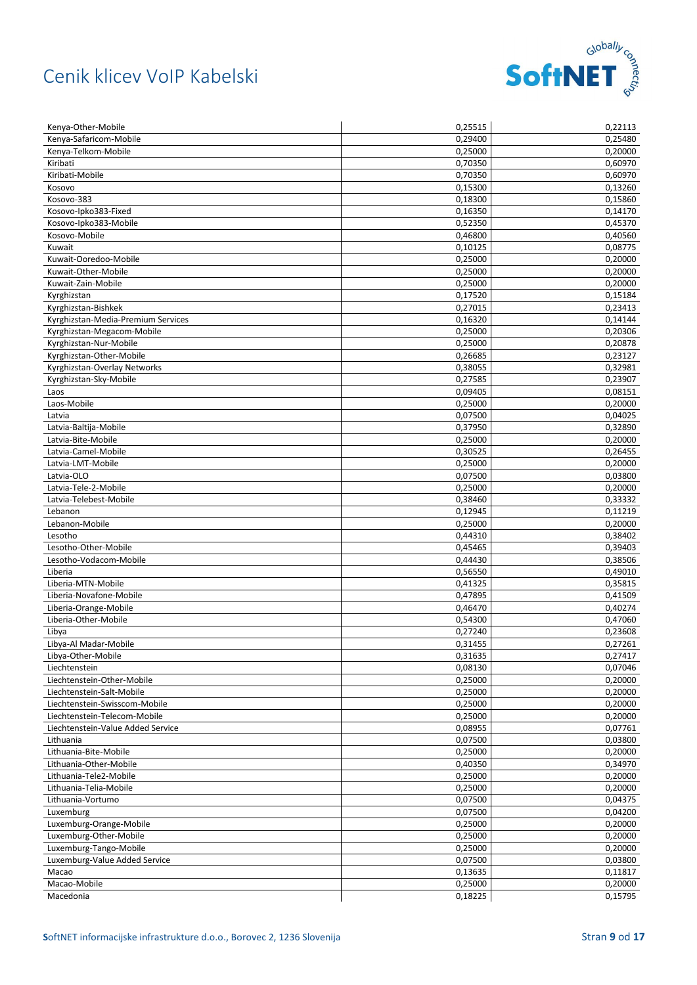

| Kenya-Other-Mobile                                      | 0,25515            | 0,22113            |
|---------------------------------------------------------|--------------------|--------------------|
| Kenya-Safaricom-Mobile                                  | 0,29400            | 0,25480            |
| Kenya-Telkom-Mobile                                     | 0.25000            | 0,20000            |
| Kiribati                                                | 0,70350            | 0,60970            |
| Kiribati-Mobile                                         | 0,70350            | 0,60970            |
| Kosovo                                                  | 0,15300            | 0,13260            |
| Kosovo-383                                              | 0,18300            | 0,15860            |
| Kosovo-Ipko383-Fixed                                    | 0,16350            | 0,14170            |
| Kosovo-Ipko383-Mobile                                   | 0,52350            | 0,45370            |
| Kosovo-Mobile                                           | 0,46800            | 0,40560            |
| Kuwait                                                  | 0,10125            | 0,08775            |
| Kuwait-Ooredoo-Mobile                                   | 0,25000            | 0,20000            |
| Kuwait-Other-Mobile                                     | 0,25000            | 0,20000            |
| Kuwait-Zain-Mobile                                      | 0,25000            | 0,20000            |
| Kyrghizstan                                             | 0,17520            | 0,15184            |
| Kyrghizstan-Bishkek                                     | 0,27015            | 0,23413            |
| Kyrghizstan-Media-Premium Services                      | 0,16320            | 0,14144            |
| Kyrghizstan-Megacom-Mobile                              | 0,25000            | 0,20306            |
| Kyrghizstan-Nur-Mobile                                  | 0,25000            | 0,20878            |
| Kyrghizstan-Other-Mobile                                | 0,26685            | 0,23127            |
| Kyrghizstan-Overlay Networks                            | 0,38055            | 0,32981            |
| Kyrghizstan-Sky-Mobile                                  | 0,27585            | 0,23907            |
| Laos                                                    | 0,09405            | 0,08151            |
| Laos-Mobile                                             | 0,25000            | 0,20000            |
| Latvia                                                  | 0,07500            | 0,04025            |
| Latvia-Baltija-Mobile                                   | 0,37950            | 0,32890            |
| Latvia-Bite-Mobile                                      | 0,25000            | 0,20000            |
| Latvia-Camel-Mobile                                     | 0,30525            | 0,26455            |
| Latvia-LMT-Mobile                                       | 0,25000            | 0,20000            |
| Latvia-OLO                                              | 0,07500            | 0,03800            |
| Latvia-Tele-2-Mobile                                    | 0,25000            | 0,20000            |
| Latvia-Telebest-Mobile                                  | 0,38460            | 0,33332            |
| Lebanon                                                 | 0,12945            | 0,11219            |
| Lebanon-Mobile                                          | 0,25000            | 0,20000            |
| Lesotho                                                 | 0,44310            | 0,38402            |
| Lesotho-Other-Mobile                                    | 0,45465            | 0,39403            |
| Lesotho-Vodacom-Mobile                                  | 0,44430            | 0,38506            |
| Liberia                                                 | 0,56550            | 0,49010            |
| Liberia-MTN-Mobile                                      | 0,41325            | 0,35815            |
| Liberia-Novafone-Mobile                                 | 0,47895            | 0,41509            |
| Liberia-Orange-Mobile                                   | 0,46470            | 0,40274            |
| Liberia-Other-Mobile                                    | 0,54300            | 0,47060            |
| Libya                                                   | 0,27240            | 0,23608            |
| Libya-Al Madar-Mobile                                   | 0,31455            | 0,27261            |
| Libya-Other-Mobile                                      | 0,31635            | 0,27417            |
| Liechtenstein                                           | 0,08130            | 0,07046            |
| Liechtenstein-Other-Mobile                              | 0,25000            | 0,20000            |
| Liechtenstein-Salt-Mobile                               | 0,25000            | 0,20000            |
| Liechtenstein-Swisscom-Mobile                           | 0,25000            | 0,20000            |
| Liechtenstein-Telecom-Mobile                            | 0,25000            | 0,20000            |
| Liechtenstein-Value Added Service                       | 0,08955            | 0,07761            |
| Lithuania                                               | 0,07500            | 0,03800            |
| Lithuania-Bite-Mobile                                   | 0,25000            | 0,20000            |
| Lithuania-Other-Mobile                                  | 0,40350            | 0,34970            |
| Lithuania-Tele2-Mobile                                  | 0,25000            | 0,20000            |
| Lithuania-Telia-Mobile                                  | 0,25000            | 0,20000            |
| Lithuania-Vortumo                                       | 0,07500            | 0,04375            |
| Luxemburg                                               | 0,07500            | 0,04200            |
| Luxemburg-Orange-Mobile                                 | 0,25000            | 0,20000            |
| Luxemburg-Other-Mobile                                  | 0,25000            | 0,20000            |
| Luxemburg-Tango-Mobile<br>Luxemburg-Value Added Service | 0,25000<br>0,07500 | 0,20000<br>0,03800 |
|                                                         |                    |                    |
| Macao                                                   | 0,13635            | 0,11817<br>0,20000 |
| Macao-Mobile<br>Macedonia                               | 0,25000<br>0,18225 | 0,15795            |
|                                                         |                    |                    |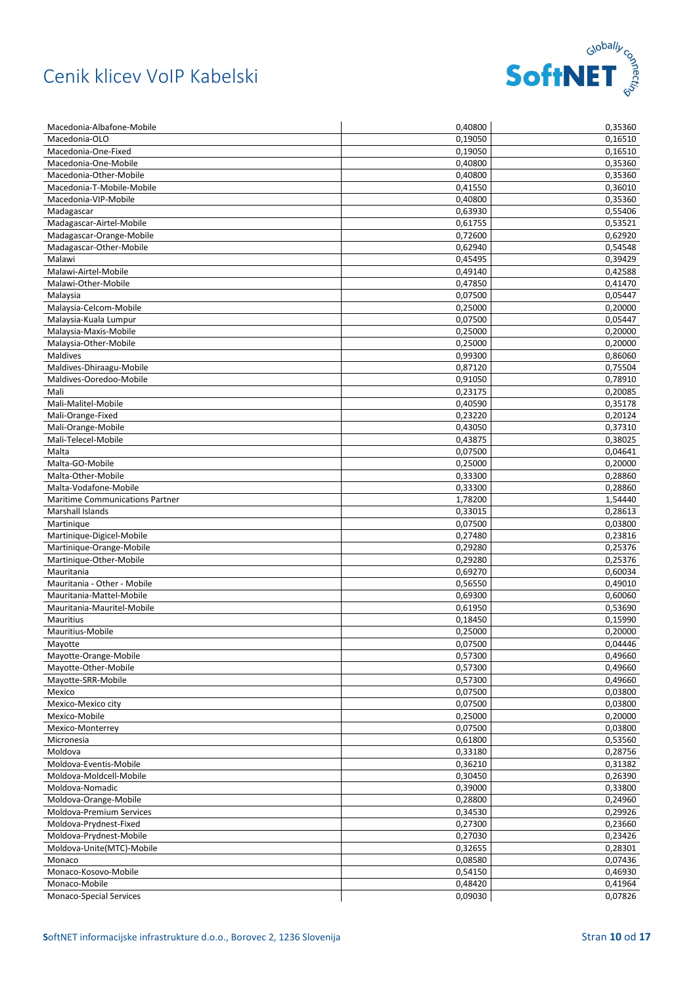

| Macedonia-Albafone-Mobile              | 0,40800 | 0,35360 |
|----------------------------------------|---------|---------|
| Macedonia-OLO                          | 0,19050 | 0.16510 |
| Macedonia-One-Fixed                    | 0.19050 | 0,16510 |
| Macedonia-One-Mobile                   | 0,40800 | 0,35360 |
| Macedonia-Other-Mobile                 | 0,40800 | 0,35360 |
| Macedonia-T-Mobile-Mobile              | 0,41550 | 0,36010 |
| Macedonia-VIP-Mobile                   | 0,40800 | 0,35360 |
| Madagascar                             | 0,63930 | 0,55406 |
| Madagascar-Airtel-Mobile               | 0,61755 | 0,53521 |
| Madagascar-Orange-Mobile               | 0,72600 | 0,62920 |
| Madagascar-Other-Mobile                | 0,62940 | 0,54548 |
| Malawi                                 | 0,45495 | 0,39429 |
| Malawi-Airtel-Mobile                   | 0,49140 | 0,42588 |
| Malawi-Other-Mobile                    | 0,47850 | 0,41470 |
| Malaysia                               | 0,07500 | 0,05447 |
| Malaysia-Celcom-Mobile                 | 0,25000 | 0,20000 |
| Malaysia-Kuala Lumpur                  | 0,07500 | 0,05447 |
| Malaysia-Maxis-Mobile                  | 0,25000 | 0,20000 |
| Malaysia-Other-Mobile                  | 0,25000 | 0,20000 |
| <b>Maldives</b>                        | 0,99300 | 0,86060 |
| Maldives-Dhiraagu-Mobile               | 0,87120 | 0,75504 |
| Maldives-Ooredoo-Mobile                | 0,91050 | 0,78910 |
| Mali                                   | 0,23175 | 0,20085 |
| Mali-Malitel-Mobile                    | 0,40590 | 0,35178 |
| Mali-Orange-Fixed                      | 0,23220 | 0,20124 |
| Mali-Orange-Mobile                     | 0,43050 | 0,37310 |
| Mali-Telecel-Mobile                    | 0,43875 | 0,38025 |
| Malta                                  | 0,07500 | 0,04641 |
| Malta-GO-Mobile                        | 0,25000 | 0,20000 |
| Malta-Other-Mobile                     | 0,33300 | 0,28860 |
| Malta-Vodafone-Mobile                  | 0,33300 | 0,28860 |
| <b>Maritime Communications Partner</b> | 1,78200 | 1,54440 |
| Marshall Islands                       | 0,33015 | 0,28613 |
| Martinique                             | 0,07500 | 0,03800 |
| Martinique-Digicel-Mobile              | 0,27480 | 0,23816 |
| Martinique-Orange-Mobile               | 0,29280 | 0,25376 |
| Martinique-Other-Mobile                | 0,29280 | 0,25376 |
| Mauritania                             | 0,69270 | 0,60034 |
| Mauritania - Other - Mobile            | 0,56550 | 0,49010 |
| Mauritania-Mattel-Mobile               | 0,69300 | 0,60060 |
| Mauritania-Mauritel-Mobile             | 0,61950 | 0,53690 |
| Mauritius                              | 0,18450 | 0,15990 |
| Mauritius-Mobile                       | 0,25000 | 0,20000 |
| Mayotte                                | 0,07500 | 0,04446 |
| Mayotte-Orange-Mobile                  | 0,57300 | 0,49660 |
| Mayotte-Other-Mobile                   | 0,57300 | 0,49660 |
| Mayotte-SRR-Mobile                     | 0,57300 | 0,49660 |
| Mexico                                 | 0,07500 | 0,03800 |
| Mexico-Mexico city                     | 0,07500 | 0,03800 |
| Mexico-Mobile                          | 0,25000 | 0,20000 |
| Mexico-Monterrey                       | 0,07500 | 0,03800 |
| Micronesia                             | 0,61800 | 0,53560 |
| Moldova                                | 0,33180 | 0,28756 |
| Moldova-Eventis-Mobile                 | 0,36210 | 0,31382 |
| Moldova-Moldcell-Mobile                | 0,30450 | 0,26390 |
| Moldova-Nomadic                        | 0,39000 | 0,33800 |
| Moldova-Orange-Mobile                  | 0,28800 | 0,24960 |
| Moldova-Premium Services               | 0,34530 | 0,29926 |
| Moldova-Prydnest-Fixed                 | 0,27300 | 0,23660 |
| Moldova-Prydnest-Mobile                | 0,27030 | 0,23426 |
| Moldova-Unite(MTC)-Mobile              | 0,32655 | 0,28301 |
| Monaco                                 | 0,08580 | 0,07436 |
| Monaco-Kosovo-Mobile                   | 0,54150 | 0,46930 |
| Monaco-Mobile                          | 0,48420 | 0,41964 |
| Monaco-Special Services                | 0,09030 | 0,07826 |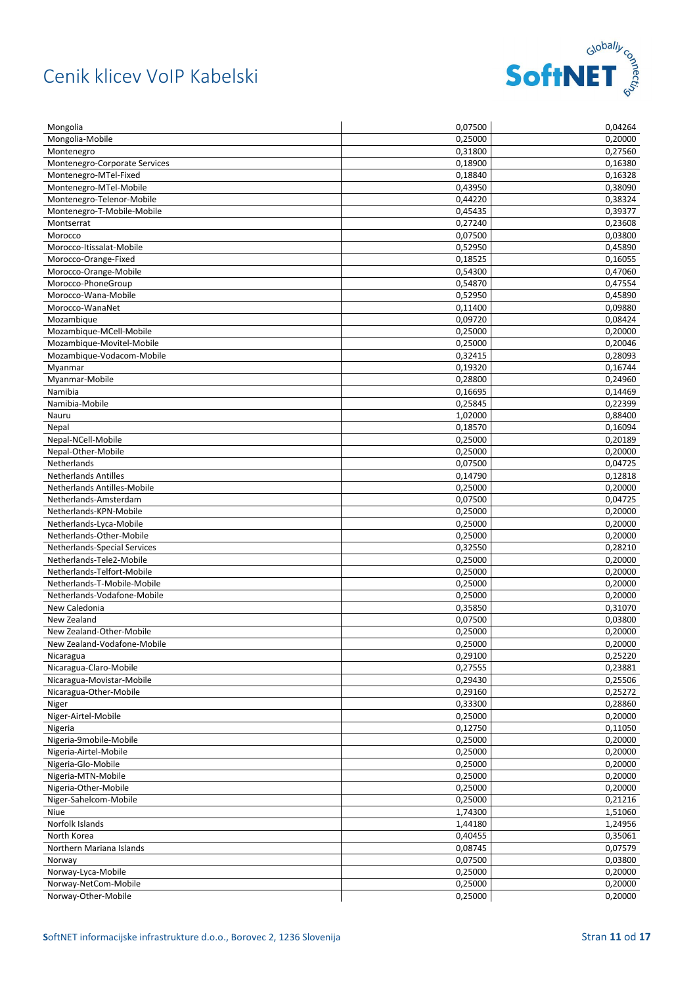

| Mongolia                      | 0,07500 | 0,04264 |
|-------------------------------|---------|---------|
| Mongolia-Mobile               | 0.25000 | 0,20000 |
| Montenegro                    | 0.31800 | 0,27560 |
| Montenegro-Corporate Services | 0,18900 | 0,16380 |
| Montenegro-MTel-Fixed         | 0,18840 | 0,16328 |
| Montenegro-MTel-Mobile        | 0,43950 | 0,38090 |
| Montenegro-Telenor-Mobile     | 0,44220 | 0,38324 |
| Montenegro-T-Mobile-Mobile    | 0,45435 | 0,39377 |
| Montserrat                    | 0,27240 | 0,23608 |
| Morocco                       | 0,07500 | 0,03800 |
| Morocco-Itissalat-Mobile      | 0,52950 | 0,45890 |
| Morocco-Orange-Fixed          | 0,18525 | 0,16055 |
| Morocco-Orange-Mobile         | 0,54300 | 0,47060 |
| Morocco-PhoneGroup            | 0,54870 | 0,47554 |
| Morocco-Wana-Mobile           | 0,52950 | 0,45890 |
| Morocco-WanaNet               | 0,11400 | 0,09880 |
| Mozambique                    | 0,09720 | 0,08424 |
| Mozambique-MCell-Mobile       | 0,25000 | 0,20000 |
| Mozambique-Movitel-Mobile     | 0,25000 | 0,20046 |
| Mozambique-Vodacom-Mobile     | 0,32415 | 0,28093 |
| Myanmar                       | 0,19320 | 0,16744 |
| Myanmar-Mobile                | 0,28800 | 0,24960 |
| Namibia                       |         |         |
|                               | 0,16695 | 0,14469 |
| Namibia-Mobile                | 0,25845 | 0,22399 |
| Nauru                         | 1,02000 | 0,88400 |
| Nepal                         | 0,18570 | 0,16094 |
| Nepal-NCell-Mobile            | 0,25000 | 0,20189 |
| Nepal-Other-Mobile            | 0,25000 | 0,20000 |
| Netherlands                   | 0,07500 | 0,04725 |
| <b>Netherlands Antilles</b>   | 0,14790 | 0,12818 |
| Netherlands Antilles-Mobile   | 0,25000 | 0,20000 |
| Netherlands-Amsterdam         | 0,07500 | 0,04725 |
| Netherlands-KPN-Mobile        | 0,25000 | 0,20000 |
| Netherlands-Lyca-Mobile       | 0,25000 | 0,20000 |
| Netherlands-Other-Mobile      | 0,25000 | 0,20000 |
| Netherlands-Special Services  | 0,32550 | 0,28210 |
| Netherlands-Tele2-Mobile      | 0,25000 | 0,20000 |
| Netherlands-Telfort-Mobile    | 0,25000 | 0,20000 |
| Netherlands-T-Mobile-Mobile   | 0,25000 | 0,20000 |
| Netherlands-Vodafone-Mobile   | 0,25000 | 0,20000 |
| New Caledonia                 | 0,35850 | 0,31070 |
| New Zealand                   | 0,07500 | 0,03800 |
| New Zealand-Other-Mobile      | 0,25000 | 0,20000 |
| New Zealand-Vodafone-Mobile   | 0,25000 | 0,20000 |
| Nicaragua                     | 0,29100 | 0,25220 |
| Nicaragua-Claro-Mobile        | 0,27555 | 0,23881 |
| Nicaragua-Movistar-Mobile     | 0,29430 | 0,25506 |
| Nicaragua-Other-Mobile        | 0,29160 | 0,25272 |
| Niger                         | 0,33300 | 0,28860 |
| Niger-Airtel-Mobile           | 0,25000 | 0,20000 |
| Nigeria                       | 0,12750 | 0,11050 |
| Nigeria-9mobile-Mobile        | 0,25000 | 0,20000 |
| Nigeria-Airtel-Mobile         | 0,25000 | 0,20000 |
| Nigeria-Glo-Mobile            | 0,25000 | 0,20000 |
| Nigeria-MTN-Mobile            | 0,25000 | 0,20000 |
| Nigeria-Other-Mobile          | 0,25000 | 0,20000 |
| Niger-Sahelcom-Mobile         | 0,25000 | 0,21216 |
| Niue                          | 1,74300 | 1,51060 |
| Norfolk Islands               | 1,44180 | 1,24956 |
| North Korea                   | 0,40455 | 0,35061 |
| Northern Mariana Islands      | 0,08745 | 0,07579 |
| Norway                        | 0,07500 | 0,03800 |
| Norway-Lyca-Mobile            | 0,25000 | 0,20000 |
| Norway-NetCom-Mobile          | 0,25000 | 0,20000 |
| Norway-Other-Mobile           | 0,25000 | 0,20000 |
|                               |         |         |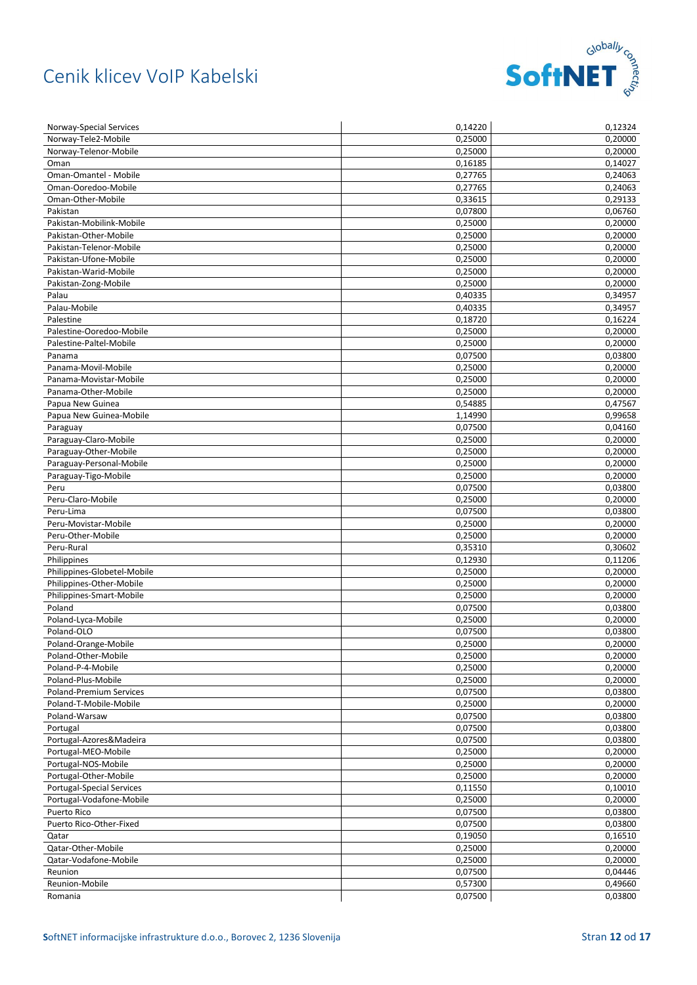

| Norway-Special Services             | 0,14220 | 0,12324 |
|-------------------------------------|---------|---------|
| Norway-Tele2-Mobile                 | 0,25000 | 0,20000 |
| Norway-Telenor-Mobile               | 0.25000 | 0,20000 |
| Oman                                | 0,16185 | 0,14027 |
| Oman-Omantel - Mobile               | 0,27765 | 0,24063 |
| Oman-Ooredoo-Mobile                 | 0,27765 | 0,24063 |
| Oman-Other-Mobile                   | 0,33615 | 0,29133 |
| Pakistan                            | 0,07800 | 0,06760 |
| Pakistan-Mobilink-Mobile            | 0,25000 | 0,20000 |
| Pakistan-Other-Mobile               | 0,25000 | 0,20000 |
| Pakistan-Telenor-Mobile             | 0,25000 | 0,20000 |
| Pakistan-Ufone-Mobile               | 0,25000 | 0,20000 |
| Pakistan-Warid-Mobile               | 0,25000 | 0,20000 |
| Pakistan-Zong-Mobile                | 0,25000 | 0,20000 |
| Palau                               | 0,40335 | 0,34957 |
| Palau-Mobile                        | 0,40335 | 0,34957 |
| Palestine                           | 0,18720 | 0,16224 |
| Palestine-Ooredoo-Mobile            | 0,25000 | 0,20000 |
| Palestine-Paltel-Mobile             | 0,25000 | 0,20000 |
| Panama                              | 0,07500 | 0,03800 |
| Panama-Movil-Mobile                 | 0,25000 | 0,20000 |
| Panama-Movistar-Mobile              | 0,25000 | 0,20000 |
| Panama-Other-Mobile                 | 0,25000 | 0,20000 |
| Papua New Guinea                    | 0,54885 | 0,47567 |
| Papua New Guinea-Mobile             | 1,14990 | 0,99658 |
| Paraguay                            | 0,07500 | 0,04160 |
| Paraguay-Claro-Mobile               | 0,25000 | 0,20000 |
| Paraguay-Other-Mobile               | 0,25000 | 0,20000 |
| Paraguay-Personal-Mobile            | 0,25000 | 0,20000 |
| Paraguay-Tigo-Mobile                | 0,25000 | 0,20000 |
| Peru                                | 0,07500 | 0,03800 |
| Peru-Claro-Mobile                   | 0,25000 | 0,20000 |
| Peru-Lima                           | 0,07500 | 0,03800 |
| Peru-Movistar-Mobile                | 0,25000 | 0,20000 |
| Peru-Other-Mobile                   | 0,25000 | 0,20000 |
| Peru-Rural                          | 0,35310 | 0,30602 |
| Philippines                         | 0,12930 | 0,11206 |
| Philippines-Globetel-Mobile         | 0,25000 | 0,20000 |
| Philippines-Other-Mobile            | 0,25000 | 0,20000 |
| Philippines-Smart-Mobile            | 0,25000 | 0,20000 |
| Poland                              | 0,07500 | 0,03800 |
| Poland-Lyca-Mobile                  | 0,25000 | 0,20000 |
| Poland-OLO                          | 0,07500 | 0,03800 |
| Poland-Orange-Mobile                | 0,25000 | 0,20000 |
| Poland-Other-Mobile                 | 0,25000 | 0,20000 |
| Poland-P-4-Mobile                   | 0,25000 | 0,20000 |
| Poland-Plus-Mobile                  | 0,25000 | 0,20000 |
| Poland-Premium Services             | 0,07500 | 0,03800 |
| Poland-T-Mobile-Mobile              | 0,25000 | 0,20000 |
| Poland-Warsaw                       | 0,07500 | 0,03800 |
|                                     | 0,07500 | 0,03800 |
| Portugal<br>Portugal-Azores&Madeira | 0,07500 | 0,03800 |
| Portugal-MEO-Mobile                 | 0,25000 | 0,20000 |
| Portugal-NOS-Mobile                 | 0,25000 | 0,20000 |
|                                     | 0,25000 | 0,20000 |
| Portugal-Other-Mobile               |         |         |
| Portugal-Special Services           | 0,11550 | 0,10010 |
| Portugal-Vodafone-Mobile            | 0,25000 | 0,20000 |
| Puerto Rico                         | 0,07500 | 0,03800 |
| Puerto Rico-Other-Fixed             | 0,07500 | 0,03800 |
| Qatar                               | 0,19050 | 0,16510 |
| Qatar-Other-Mobile                  | 0,25000 | 0,20000 |
| Qatar-Vodafone-Mobile               | 0,25000 | 0,20000 |
| Reunion                             | 0,07500 | 0,04446 |
| Reunion-Mobile                      | 0,57300 | 0,49660 |
| Romania                             | 0,07500 | 0,03800 |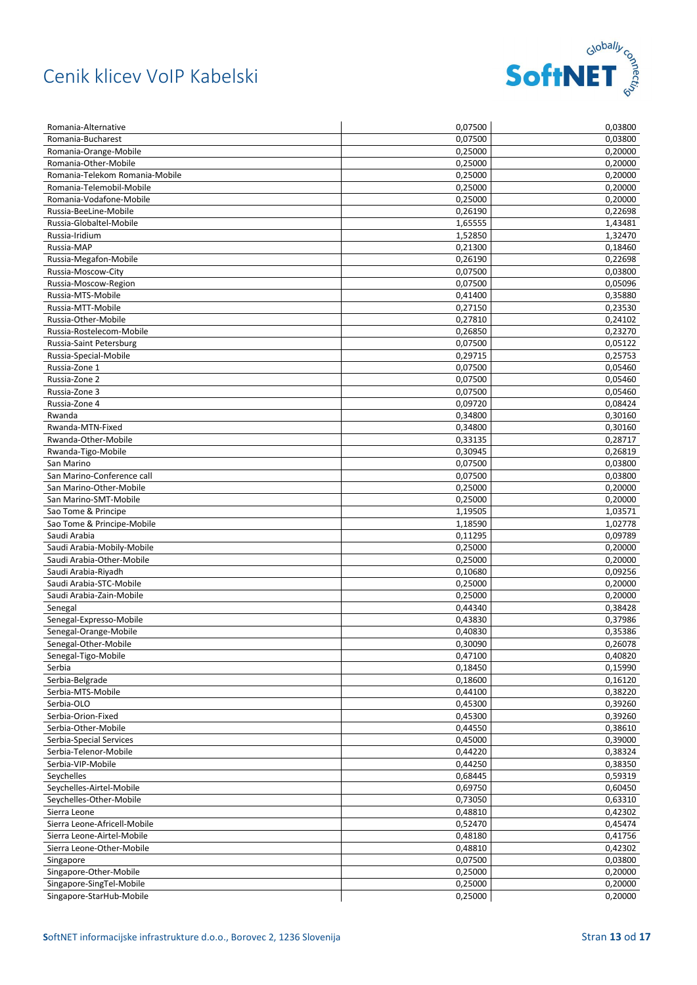

| Romania-Alternative            | 0,07500 | 0,03800 |
|--------------------------------|---------|---------|
| Romania-Bucharest              | 0,07500 | 0,03800 |
| Romania-Orange-Mobile          | 0,25000 | 0,20000 |
| Romania-Other-Mobile           | 0,25000 | 0,20000 |
| Romania-Telekom Romania-Mobile | 0,25000 | 0,20000 |
| Romania-Telemobil-Mobile       | 0,25000 | 0,20000 |
| Romania-Vodafone-Mobile        | 0,25000 | 0,20000 |
| Russia-BeeLine-Mobile          | 0,26190 | 0,22698 |
| Russia-Globaltel-Mobile        | 1,65555 | 1,43481 |
| Russia-Iridium                 | 1,52850 | 1,32470 |
| Russia-MAP                     | 0,21300 | 0,18460 |
| Russia-Megafon-Mobile          | 0,26190 | 0,22698 |
| Russia-Moscow-City             | 0,07500 | 0,03800 |
| Russia-Moscow-Region           | 0,07500 | 0,05096 |
| Russia-MTS-Mobile              | 0,41400 | 0,35880 |
| Russia-MTT-Mobile              | 0,27150 | 0,23530 |
| Russia-Other-Mobile            | 0,27810 | 0,24102 |
| Russia-Rostelecom-Mobile       | 0,26850 | 0,23270 |
| Russia-Saint Petersburg        | 0,07500 | 0,05122 |
| Russia-Special-Mobile          | 0,29715 | 0,25753 |
| Russia-Zone 1                  | 0,07500 | 0,05460 |
| Russia-Zone 2                  | 0,07500 | 0,05460 |
| Russia-Zone 3                  | 0,07500 | 0,05460 |
| Russia-Zone 4                  | 0,09720 | 0,08424 |
| Rwanda                         | 0,34800 | 0,30160 |
| Rwanda-MTN-Fixed               | 0,34800 | 0,30160 |
| Rwanda-Other-Mobile            | 0,33135 | 0,28717 |
| Rwanda-Tigo-Mobile             | 0,30945 | 0,26819 |
| San Marino                     | 0,07500 | 0,03800 |
| San Marino-Conference call     | 0,07500 | 0,03800 |
| San Marino-Other-Mobile        | 0,25000 | 0,20000 |
| San Marino-SMT-Mobile          | 0,25000 | 0,20000 |
| Sao Tome & Principe            | 1,19505 | 1,03571 |
| Sao Tome & Principe-Mobile     | 1,18590 | 1,02778 |
| Saudi Arabia                   | 0,11295 | 0,09789 |
| Saudi Arabia-Mobily-Mobile     | 0,25000 | 0,20000 |
| Saudi Arabia-Other-Mobile      | 0,25000 | 0,20000 |
| Saudi Arabia-Riyadh            | 0,10680 | 0,09256 |
| Saudi Arabia-STC-Mobile        | 0,25000 | 0,20000 |
| Saudi Arabia-Zain-Mobile       | 0,25000 | 0,20000 |
| Senegal                        | 0,44340 | 0,38428 |
| Senegal-Expresso-Mobile        | 0,43830 | 0,37986 |
| Senegal-Orange-Mobile          | 0,40830 | 0,35386 |
| Senegal-Other-Mobile           | 0,30090 | 0,26078 |
| Senegal-Tigo-Mobile            | 0,47100 | 0,40820 |
| Serbia                         | 0,18450 | 0,15990 |
| Serbia-Belgrade                | 0,18600 | 0,16120 |
| Serbia-MTS-Mobile              | 0,44100 | 0,38220 |
| Serbia-OLO                     | 0,45300 | 0,39260 |
| Serbia-Orion-Fixed             | 0,45300 | 0,39260 |
| Serbia-Other-Mobile            | 0,44550 | 0,38610 |
| Serbia-Special Services        | 0,45000 | 0,39000 |
| Serbia-Telenor-Mobile          | 0,44220 | 0,38324 |
| Serbia-VIP-Mobile              | 0,44250 | 0,38350 |
| Seychelles                     | 0,68445 | 0,59319 |
| Seychelles-Airtel-Mobile       | 0,69750 | 0,60450 |
| Seychelles-Other-Mobile        | 0,73050 | 0,63310 |
| Sierra Leone                   | 0,48810 | 0,42302 |
| Sierra Leone-Africell-Mobile   | 0,52470 | 0,45474 |
| Sierra Leone-Airtel-Mobile     | 0,48180 | 0,41756 |
| Sierra Leone-Other-Mobile      | 0,48810 | 0,42302 |
| Singapore                      | 0,07500 | 0,03800 |
| Singapore-Other-Mobile         | 0,25000 | 0,20000 |
| Singapore-SingTel-Mobile       | 0,25000 | 0,20000 |
| Singapore-StarHub-Mobile       | 0,25000 | 0,20000 |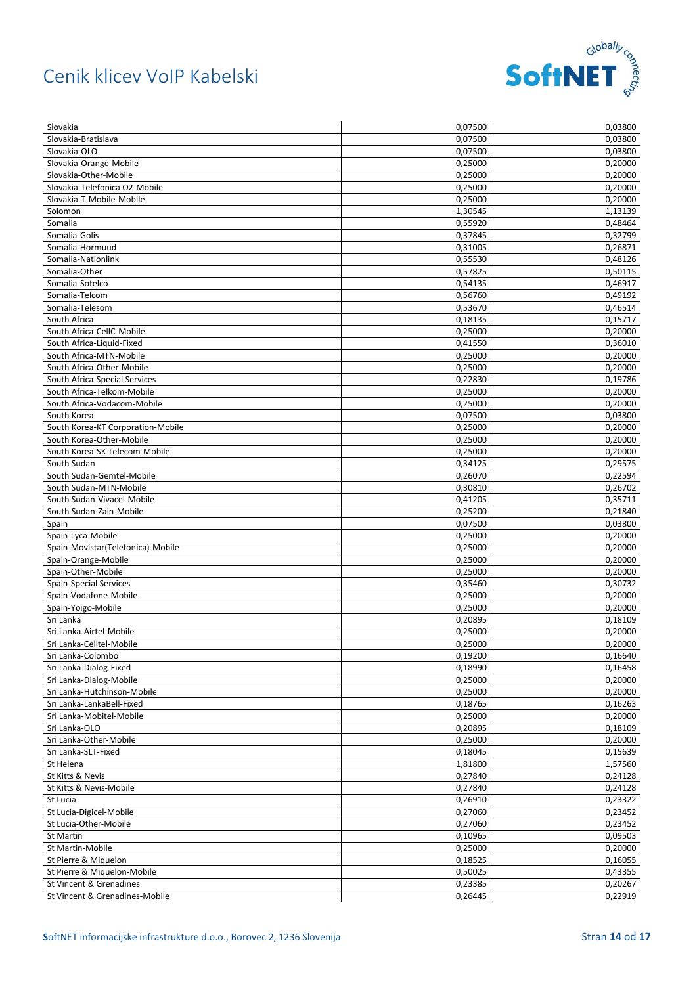

| Slovakia                                               | 0,07500            | 0,03800            |
|--------------------------------------------------------|--------------------|--------------------|
| Slovakia-Bratislava                                    | 0,07500            | 0.03800            |
| Slovakia-OLO                                           | 0,07500            | 0,03800            |
| Slovakia-Orange-Mobile                                 | 0,25000            | 0,20000            |
| Slovakia-Other-Mobile                                  | 0,25000            | 0,20000            |
| Slovakia-Telefonica O2-Mobile                          | 0,25000            | 0,20000            |
| Slovakia-T-Mobile-Mobile                               | 0,25000            | 0,20000            |
| Solomon                                                | 1,30545            | 1,13139            |
| Somalia                                                | 0,55920            | 0,48464            |
| Somalia-Golis                                          | 0,37845            | 0,32799            |
| Somalia-Hormuud                                        | 0,31005            | 0,26871            |
| Somalia-Nationlink                                     | 0,55530            | 0,48126            |
| Somalia-Other                                          | 0,57825            | 0,50115            |
| Somalia-Sotelco                                        | 0,54135            | 0,46917            |
| Somalia-Telcom                                         | 0,56760            | 0,49192            |
| Somalia-Telesom                                        | 0,53670            | 0,46514            |
| South Africa                                           | 0,18135            | 0,15717            |
| South Africa-CellC-Mobile                              | 0,25000            | 0,20000            |
| South Africa-Liquid-Fixed                              | 0,41550            | 0,36010            |
| South Africa-MTN-Mobile                                | 0,25000            | 0,20000            |
| South Africa-Other-Mobile                              | 0,25000            | 0,20000            |
| South Africa-Special Services                          | 0,22830            | 0,19786            |
| South Africa-Telkom-Mobile                             | 0,25000            | 0,20000            |
| South Africa-Vodacom-Mobile                            | 0,25000            | 0,20000            |
| South Korea                                            | 0,07500            | 0,03800            |
| South Korea-KT Corporation-Mobile                      | 0,25000            | 0,20000            |
| South Korea-Other-Mobile                               | 0,25000            | 0,20000            |
| South Korea-SK Telecom-Mobile                          | 0,25000            | 0,20000            |
| South Sudan                                            | 0,34125            | 0,29575            |
| South Sudan-Gemtel-Mobile                              | 0,26070            | 0,22594            |
| South Sudan-MTN-Mobile                                 | 0,30810            | 0,26702            |
| South Sudan-Vivacel-Mobile                             | 0,41205            | 0,35711            |
| South Sudan-Zain-Mobile                                | 0,25200            | 0,21840            |
| Spain                                                  | 0,07500            | 0,03800            |
| Spain-Lyca-Mobile                                      | 0,25000            | 0,20000            |
| Spain-Movistar(Telefonica)-Mobile                      | 0,25000            | 0,20000            |
| Spain-Orange-Mobile                                    | 0,25000            | 0,20000            |
| Spain-Other-Mobile                                     | 0,25000            | 0,20000            |
| <b>Spain-Special Services</b>                          | 0,35460            | 0,30732            |
| Spain-Vodafone-Mobile                                  | 0,25000            | 0,20000            |
| Spain-Yoigo-Mobile                                     | 0,25000            | 0,20000            |
| Sri Lanka                                              | 0,20895            | 0,18109            |
| Sri Lanka-Airtel-Mobile                                | 0,25000            | 0,20000            |
| Sri Lanka-Celltel-Mobile                               | 0,25000            | 0,20000            |
| Sri Lanka-Colombo                                      | 0,19200            | 0,16640            |
| Sri Lanka-Dialog-Fixed                                 | 0,18990            | 0,16458            |
| Sri Lanka-Dialog-Mobile                                | 0,25000            | 0,20000            |
| Sri Lanka-Hutchinson-Mobile                            | 0,25000            | 0,20000            |
| Sri Lanka-LankaBell-Fixed                              | 0,18765            | 0,16263            |
| Sri Lanka-Mobitel-Mobile                               | 0,25000            | 0,20000            |
| Sri Lanka-OLO                                          | 0,20895            | 0,18109            |
| Sri Lanka-Other-Mobile                                 | 0,25000            | 0,20000            |
| Sri Lanka-SLT-Fixed                                    | 0,18045            | 0,15639            |
| St Helena                                              | 1,81800            | 1,57560            |
| St Kitts & Nevis                                       | 0,27840            | 0,24128            |
| St Kitts & Nevis-Mobile                                | 0,27840            | 0,24128            |
| St Lucia                                               | 0,26910            | 0,23322            |
| St Lucia-Digicel-Mobile                                | 0,27060            | 0,23452            |
| St Lucia-Other-Mobile                                  | 0,27060            | 0,23452            |
| St Martin                                              | 0,10965            | 0,09503            |
| St Martin-Mobile                                       | 0,25000            | 0,20000            |
|                                                        |                    |                    |
|                                                        | 0,18525            | 0,16055            |
| St Pierre & Miquelon                                   |                    |                    |
| St Pierre & Miquelon-Mobile<br>St Vincent & Grenadines | 0,50025<br>0,23385 | 0,43355<br>0,20267 |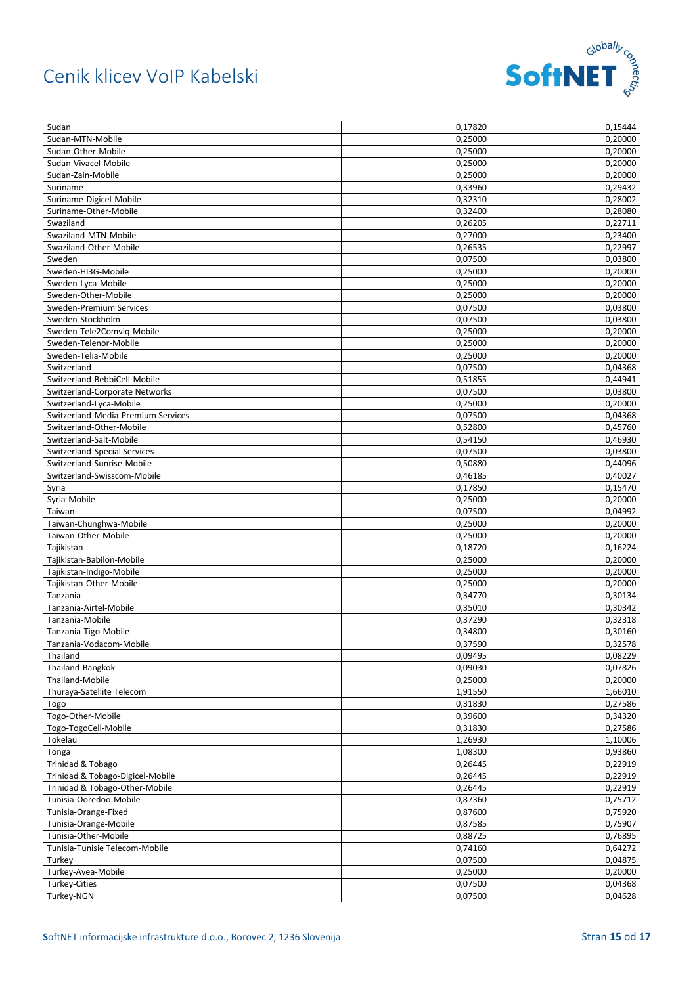

| Sudan                              | 0,17820            | 0,15444            |
|------------------------------------|--------------------|--------------------|
| Sudan-MTN-Mobile                   | 0,25000            | 0,20000            |
| Sudan-Other-Mobile                 | 0.25000            | 0,20000            |
| Sudan-Vivacel-Mobile               | 0,25000            | 0,20000            |
| Sudan-Zain-Mobile                  | 0,25000            | 0,20000            |
| Suriname                           | 0,33960            | 0,29432            |
| Suriname-Digicel-Mobile            | 0,32310            | 0,28002            |
| Suriname-Other-Mobile              | 0,32400            | 0,28080            |
| Swaziland                          | 0,26205            | 0,22711            |
| Swaziland-MTN-Mobile               | 0,27000            | 0,23400            |
| Swaziland-Other-Mobile             | 0,26535            | 0,22997            |
| Sweden                             | 0,07500            | 0,03800            |
| Sweden-HI3G-Mobile                 | 0,25000            | 0,20000            |
| Sweden-Lyca-Mobile                 | 0,25000            | 0,20000            |
| Sweden-Other-Mobile                | 0,25000            | 0,20000            |
| Sweden-Premium Services            | 0,07500            | 0,03800            |
| Sweden-Stockholm                   | 0,07500            | 0,03800            |
| Sweden-Tele2Comvig-Mobile          | 0,25000            | 0,20000            |
| Sweden-Telenor-Mobile              | 0,25000            | 0,20000            |
| Sweden-Telia-Mobile                | 0,25000            | 0,20000            |
| Switzerland                        | 0,07500            | 0,04368            |
| Switzerland-BebbiCell-Mobile       | 0,51855            | 0,44941            |
| Switzerland-Corporate Networks     | 0,07500            | 0,03800            |
| Switzerland-Lyca-Mobile            | 0,25000            | 0,20000            |
| Switzerland-Media-Premium Services | 0,07500            | 0,04368            |
| Switzerland-Other-Mobile           | 0,52800            | 0,45760            |
| Switzerland-Salt-Mobile            | 0,54150            | 0,46930            |
| Switzerland-Special Services       | 0,07500            | 0,03800            |
| Switzerland-Sunrise-Mobile         | 0,50880            | 0,44096            |
| Switzerland-Swisscom-Mobile        | 0,46185            | 0,40027            |
| Syria                              | 0,17850            | 0,15470            |
| Syria-Mobile                       | 0,25000            | 0,20000            |
| Taiwan                             | 0,07500            | 0,04992            |
| Taiwan-Chunghwa-Mobile             | 0,25000            | 0,20000            |
| Taiwan-Other-Mobile                | 0,25000            | 0,20000            |
| Tajikistan                         | 0,18720            | 0,16224            |
| Tajikistan-Babilon-Mobile          | 0,25000            | 0,20000            |
| Tajikistan-Indigo-Mobile           | 0,25000            | 0,20000            |
| Tajikistan-Other-Mobile            | 0,25000            | 0,20000            |
| Tanzania                           | 0,34770            | 0,30134            |
| Tanzania-Airtel-Mobile             | 0,35010            | 0,30342            |
| Tanzania-Mobile                    | 0,37290            | 0,32318            |
| Tanzania-Tigo-Mobile               | 0,34800            | 0,30160            |
| Tanzania-Vodacom-Mobile            | 0,37590            | 0,32578            |
| Thailand                           | 0,09495            | 0,08229            |
| Thailand-Bangkok                   | 0,09030            | 0,07826            |
| Thailand-Mobile                    | 0,25000            | 0,20000            |
| Thuraya-Satellite Telecom          | 1,91550            | 1,66010            |
| Togo                               | 0,31830            | 0,27586            |
| Togo-Other-Mobile                  | 0,39600            | 0,34320            |
| Togo-TogoCell-Mobile               | 0,31830            | 0,27586            |
| Tokelau                            | 1,26930            | 1,10006            |
|                                    |                    |                    |
| Tonga<br>Trinidad & Tobago         | 1,08300<br>0,26445 | 0,93860            |
|                                    | 0,26445            | 0,22919<br>0,22919 |
| Trinidad & Tobago-Digicel-Mobile   |                    |                    |
| Trinidad & Tobago-Other-Mobile     | 0,26445            | 0,22919            |
| Tunisia-Ooredoo-Mobile             | 0,87360            | 0,75712            |
| Tunisia-Orange-Fixed               | 0,87600            | 0,75920            |
| Tunisia-Orange-Mobile              | 0,87585            | 0,75907            |
| Tunisia-Other-Mobile               | 0,88725            | 0,76895            |
| Tunisia-Tunisie Telecom-Mobile     | 0,74160            | 0,64272            |
| Turkey                             | 0,07500            | 0,04875            |
| Turkey-Avea-Mobile                 | 0,25000            | 0,20000            |
| Turkey-Cities                      | 0,07500            | 0,04368            |
| Turkey-NGN                         | 0,07500            | 0,04628            |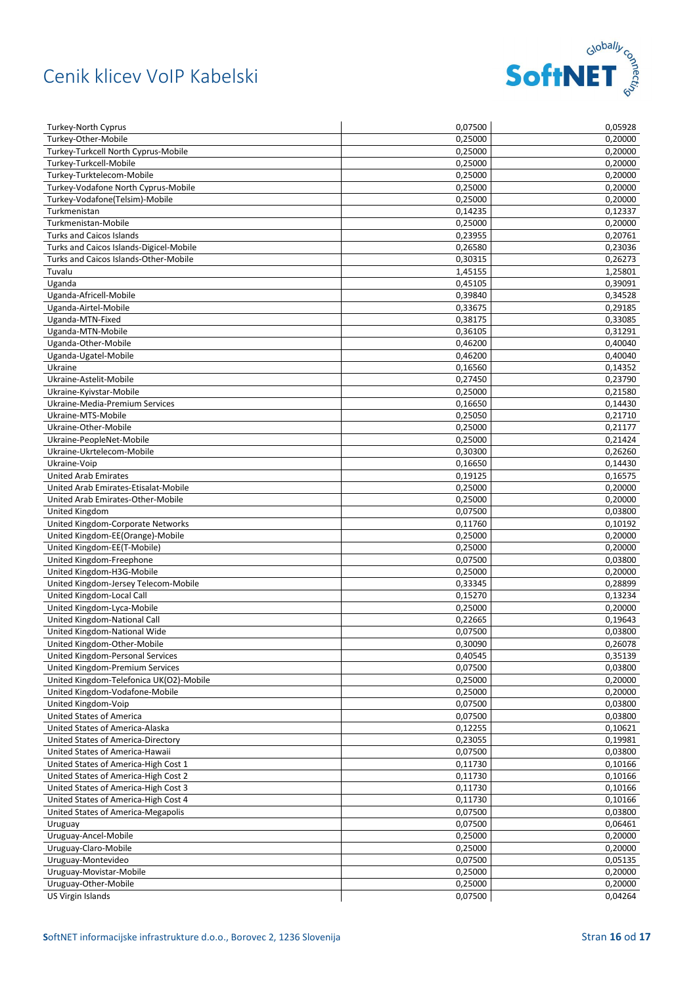

| <b>Turkey-North Cyprus</b>              | 0,07500              | 0,05928 |
|-----------------------------------------|----------------------|---------|
| Turkey-Other-Mobile                     | 0,25000              | 0,20000 |
| Turkey-Turkcell North Cyprus-Mobile     | 0,25000              | 0,20000 |
| Turkey-Turkcell-Mobile                  | 0,25000              | 0,20000 |
| Turkey-Turktelecom-Mobile               | 0,25000              | 0,20000 |
| Turkey-Vodafone North Cyprus-Mobile     | 0,25000              | 0,20000 |
| Turkey-Vodafone(Telsim)-Mobile          | 0,25000              | 0,20000 |
| Turkmenistan                            | 0,14235              | 0,12337 |
| Turkmenistan-Mobile                     | 0,25000              | 0,20000 |
| <b>Turks and Caicos Islands</b>         | 0,23955              | 0,20761 |
| Turks and Caicos Islands-Digicel-Mobile | 0,26580              | 0,23036 |
| Turks and Caicos Islands-Other-Mobile   | 0,30315              | 0,26273 |
| Tuvalu                                  | 1,45155              | 1,25801 |
| Uganda                                  | 0,45105              | 0,39091 |
| Uganda-Africell-Mobile                  | 0,39840              | 0,34528 |
| Uganda-Airtel-Mobile                    | 0,33675              | 0,29185 |
| Uganda-MTN-Fixed                        | 0,38175              | 0,33085 |
| Uganda-MTN-Mobile                       | 0,36105              | 0,31291 |
| Uganda-Other-Mobile                     | 0,46200              | 0,40040 |
| Uganda-Ugatel-Mobile                    | $\overline{0,}46200$ | 0,40040 |
| Ukraine                                 | 0,16560              | 0,14352 |
| Ukraine-Astelit-Mobile                  | 0,27450              | 0,23790 |
| Ukraine-Kyivstar-Mobile                 | 0,25000              | 0,21580 |
| Ukraine-Media-Premium Services          | 0,16650              | 0,14430 |
| Ukraine-MTS-Mobile                      | 0,25050              | 0,21710 |
| Ukraine-Other-Mobile                    | 0,25000              | 0,21177 |
| Ukraine-PeopleNet-Mobile                | 0,25000              | 0,21424 |
| Ukraine-Ukrtelecom-Mobile               | 0,30300              | 0,26260 |
| Ukraine-Voip                            | 0,16650              | 0,14430 |
| <b>United Arab Emirates</b>             | 0,19125              | 0,16575 |
| United Arab Emirates-Etisalat-Mobile    | 0,25000              | 0,20000 |
| United Arab Emirates-Other-Mobile       | 0,25000              | 0,20000 |
| United Kingdom                          | 0,07500              | 0,03800 |
| United Kingdom-Corporate Networks       | 0,11760              | 0,10192 |
| United Kingdom-EE(Orange)-Mobile        | 0,25000              | 0,20000 |
| United Kingdom-EE(T-Mobile)             | 0,25000              | 0,20000 |
| United Kingdom-Freephone                | 0,07500              | 0,03800 |
| United Kingdom-H3G-Mobile               | 0,25000              | 0,20000 |
| United Kingdom-Jersey Telecom-Mobile    | 0,33345              | 0,28899 |
| United Kingdom-Local Call               | 0,15270              | 0,13234 |
| United Kingdom-Lyca-Mobile              | 0,25000              | 0,20000 |
| United Kingdom-National Call            | 0,22665              | 0,19643 |
| United Kingdom-National Wide            | 0,07500              | 0,03800 |
| United Kingdom-Other-Mobile             | 0,30090              | 0,26078 |
| United Kingdom-Personal Services        | 0,40545              | 0,35139 |
| United Kingdom-Premium Services         | 0,07500              | 0,03800 |
| United Kingdom-Telefonica UK(O2)-Mobile | 0,25000              | 0,20000 |
| United Kingdom-Vodafone-Mobile          | 0,25000              | 0,20000 |
| United Kingdom-Voip                     | 0,07500              | 0,03800 |
| United States of America                | 0,07500              | 0,03800 |
| United States of America-Alaska         | 0,12255              | 0,10621 |
| United States of America-Directory      | 0,23055              | 0,19981 |
| United States of America-Hawaii         | 0,07500              | 0,03800 |
| United States of America-High Cost 1    | 0,11730              | 0,10166 |
| United States of America-High Cost 2    | 0,11730              | 0,10166 |
| United States of America-High Cost 3    | 0,11730              | 0,10166 |
| United States of America-High Cost 4    | 0,11730              | 0,10166 |
| United States of America-Megapolis      | 0,07500              | 0,03800 |
| Uruguay                                 | 0,07500              | 0,06461 |
| Uruguay-Ancel-Mobile                    | 0,25000              | 0,20000 |
| Uruguay-Claro-Mobile                    | 0,25000              | 0,20000 |
| Uruguay-Montevideo                      | 0,07500              | 0,05135 |
| Uruguay-Movistar-Mobile                 | 0,25000              | 0,20000 |
| Uruguay-Other-Mobile                    | 0,25000              | 0,20000 |
| US Virgin Islands                       | 0,07500              | 0,04264 |